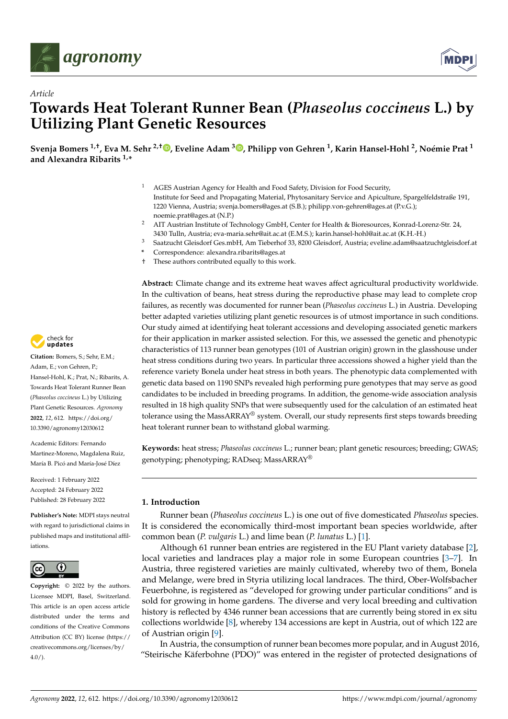

*Article*



# **Towards Heat Tolerant Runner Bean (***Phaseolus coccineus* **L.) by Utilizing Plant Genetic Resources**

**Svenja Bomers 1,†, Eva M. Sehr 2,† [,](https://orcid.org/0000-0001-6590-7509) Eveline Adam <sup>3</sup> [,](https://orcid.org/0000-0002-5382-3823) Philipp von Gehren <sup>1</sup> , Karin Hansel-Hohl <sup>2</sup> , Noémie Prat <sup>1</sup> and Alexandra Ribarits 1,\***

- <sup>1</sup> AGES Austrian Agency for Health and Food Safety, Division for Food Security, Institute for Seed and Propagating Material, Phytosanitary Service and Apiculture, Spargelfeldstraße 191, 1220 Vienna, Austria; svenja.bomers@ages.at (S.B.); philipp.von-gehren@ages.at (P.v.G.); noemie.prat@ages.at (N.P.)
- <sup>2</sup> AIT Austrian Institute of Technology GmbH, Center for Health & Bioresources, Konrad-Lorenz-Str. 24, 3430 Tulln, Austria; eva-maria.sehr@ait.ac.at (E.M.S.); karin.hansel-hohl@ait.ac.at (K.H.-H.)
- <sup>3</sup> Saatzucht Gleisdorf Ges.mbH, Am Tieberhof 33, 8200 Gleisdorf, Austria; eveline.adam@saatzuchtgleisdorf.at
- **\*** Correspondence: alexandra.ribarits@ages.at
- † These authors contributed equally to this work.

**Abstract:** Climate change and its extreme heat waves affect agricultural productivity worldwide. In the cultivation of beans, heat stress during the reproductive phase may lead to complete crop failures, as recently was documented for runner bean (*Phaseolus coccineus* L.) in Austria. Developing better adapted varieties utilizing plant genetic resources is of utmost importance in such conditions. Our study aimed at identifying heat tolerant accessions and developing associated genetic markers for their application in marker assisted selection. For this, we assessed the genetic and phenotypic characteristics of 113 runner bean genotypes (101 of Austrian origin) grown in the glasshouse under heat stress conditions during two years. In particular three accessions showed a higher yield than the reference variety Bonela under heat stress in both years. The phenotypic data complemented with genetic data based on 1190 SNPs revealed high performing pure genotypes that may serve as good candidates to be included in breeding programs. In addition, the genome-wide association analysis resulted in 18 high quality SNPs that were subsequently used for the calculation of an estimated heat tolerance using the MassARRAY® system. Overall, our study represents first steps towards breeding heat tolerant runner bean to withstand global warming.

**Keywords:** heat stress; *Phaseolus coccineus* L.; runner bean; plant genetic resources; breeding; GWAS; genotyping; phenotyping; RADseq; MassARRAY®

## **1. Introduction**

Runner bean (*Phaseolus coccineus* L.) is one out of five domesticated *Phaseolus* species. It is considered the economically third-most important bean species worldwide, after common bean (*P. vulgaris* L.) and lime bean (*P. lunatus* L.) [\[1\]](#page-18-0).

Although 61 runner bean entries are registered in the EU Plant variety database [\[2\]](#page-18-1), local varieties and landraces play a major role in some European countries [\[3–](#page-19-0)[7\]](#page-19-1). In Austria, three registered varieties are mainly cultivated, whereby two of them, Bonela and Melange, were bred in Styria utilizing local landraces. The third, Ober-Wolfsbacher Feuerbohne, is registered as "developed for growing under particular conditions" and is sold for growing in home gardens. The diverse and very local breeding and cultivation history is reflected by 4346 runner bean accessions that are currently being stored in ex situ collections worldwide [\[8\]](#page-19-2), whereby 134 accessions are kept in Austria, out of which 122 are of Austrian origin [\[9\]](#page-19-3).

In Austria, the consumption of runner bean becomes more popular, and in August 2016, "Steirische Käferbohne (PDO)" was entered in the register of protected designations of



**Citation:** Bomers, S.; Sehr, E.M.; Adam, E.; von Gehren, P.; Hansel-Hohl, K.; Prat, N.; Ribarits, A. Towards Heat Tolerant Runner Bean (*Phaseolus coccineus* L.) by Utilizing Plant Genetic Resources. *Agronomy* **2022**, *12*, 612. [https://doi.org/](https://doi.org/10.3390/agronomy12030612) [10.3390/agronomy12030612](https://doi.org/10.3390/agronomy12030612)

Academic Editors: Fernando Martinez-Moreno, Magdalena Ruiz, María B. Picó and María-José Díez

Received: 1 February 2022 Accepted: 24 February 2022 Published: 28 February 2022

**Publisher's Note:** MDPI stays neutral with regard to jurisdictional claims in published maps and institutional affiliations.



**Copyright:** © 2022 by the authors. Licensee MDPI, Basel, Switzerland. This article is an open access article distributed under the terms and conditions of the Creative Commons Attribution (CC BY) license [\(https://](https://creativecommons.org/licenses/by/4.0/) [creativecommons.org/licenses/by/](https://creativecommons.org/licenses/by/4.0/)  $4.0/$ ).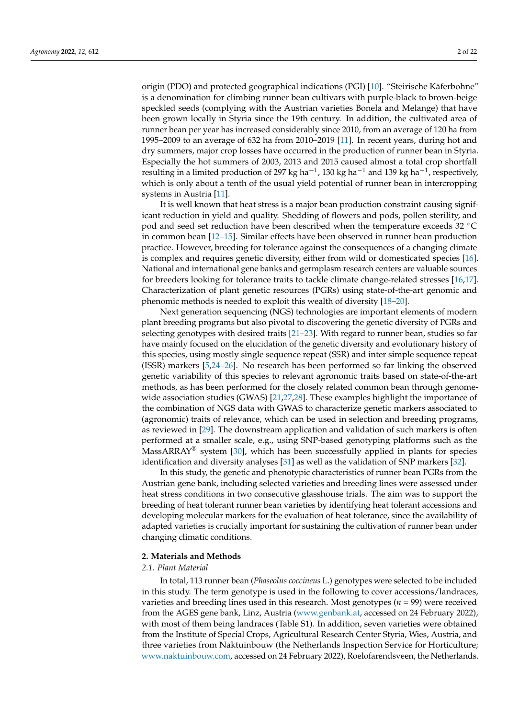origin (PDO) and protected geographical indications (PGI) [\[10\]](#page-19-4). "Steirische Käferbohne" is a denomination for climbing runner bean cultivars with purple-black to brown-beige speckled seeds (complying with the Austrian varieties Bonela and Melange) that have been grown locally in Styria since the 19th century. In addition, the cultivated area of runner bean per year has increased considerably since 2010, from an average of 120 ha from 1995–2009 to an average of 632 ha from 2010–2019 [\[11\]](#page-19-5). In recent years, during hot and dry summers, major crop losses have occurred in the production of runner bean in Styria. Especially the hot summers of 2003, 2013 and 2015 caused almost a total crop shortfall resulting in a limited production of 297 kg ha $^{-1}$ , 130 kg ha $^{-1}$  and 139 kg ha $^{-1}$ , respectively, which is only about a tenth of the usual yield potential of runner bean in intercropping systems in Austria [\[11\]](#page-19-5).

It is well known that heat stress is a major bean production constraint causing significant reduction in yield and quality. Shedding of flowers and pods, pollen sterility, and pod and seed set reduction have been described when the temperature exceeds 32 ◦C in common bean [\[12–](#page-19-6)[15\]](#page-19-7). Similar effects have been observed in runner bean production practice. However, breeding for tolerance against the consequences of a changing climate is complex and requires genetic diversity, either from wild or domesticated species [\[16\]](#page-19-8). National and international gene banks and germplasm research centers are valuable sources for breeders looking for tolerance traits to tackle climate change-related stresses [\[16,](#page-19-8)[17\]](#page-19-9). Characterization of plant genetic resources (PGRs) using state-of-the-art genomic and phenomic methods is needed to exploit this wealth of diversity [\[18](#page-19-10)[–20\]](#page-19-11).

Next generation sequencing (NGS) technologies are important elements of modern plant breeding programs but also pivotal to discovering the genetic diversity of PGRs and selecting genotypes with desired traits [\[21–](#page-19-12)[23\]](#page-19-13). With regard to runner bean, studies so far have mainly focused on the elucidation of the genetic diversity and evolutionary history of this species, using mostly single sequence repeat (SSR) and inter simple sequence repeat (ISSR) markers [\[5,](#page-19-14)[24](#page-19-15)[–26\]](#page-19-16). No research has been performed so far linking the observed genetic variability of this species to relevant agronomic traits based on state-of-the-art methods, as has been performed for the closely related common bean through genomewide association studies (GWAS) [\[21,](#page-19-12)[27,](#page-19-17)[28\]](#page-20-0). These examples highlight the importance of the combination of NGS data with GWAS to characterize genetic markers associated to (agronomic) traits of relevance, which can be used in selection and breeding programs, as reviewed in [\[29\]](#page-20-1). The downstream application and validation of such markers is often performed at a smaller scale, e.g., using SNP-based genotyping platforms such as the MassARRAY<sup>®</sup> system [\[30\]](#page-20-2), which has been successfully applied in plants for species identification and diversity analyses [\[31\]](#page-20-3) as well as the validation of SNP markers [\[32\]](#page-20-4).

In this study, the genetic and phenotypic characteristics of runner bean PGRs from the Austrian gene bank, including selected varieties and breeding lines were assessed under heat stress conditions in two consecutive glasshouse trials. The aim was to support the breeding of heat tolerant runner bean varieties by identifying heat tolerant accessions and developing molecular markers for the evaluation of heat tolerance, since the availability of adapted varieties is crucially important for sustaining the cultivation of runner bean under changing climatic conditions.

#### <span id="page-1-0"></span>**2. Materials and Methods**

## *2.1. Plant Material*

In total, 113 runner bean (*Phaseolus coccineus* L.) genotypes were selected to be included in this study. The term genotype is used in the following to cover accessions/landraces, varieties and breeding lines used in this research. Most genotypes (*n* = 99) were received from the AGES gene bank, Linz, Austria [\(www.genbank.at,](www.genbank.at) accessed on 24 February 2022), with most of them being landraces (Table S1). In addition, seven varieties were obtained from the Institute of Special Crops, Agricultural Research Center Styria, Wies, Austria, and three varieties from Naktuinbouw (the Netherlands Inspection Service for Horticulture; [www.naktuinbouw.com,](www.naktuinbouw.com) accessed on 24 February 2022), Roelofarendsveen, the Netherlands.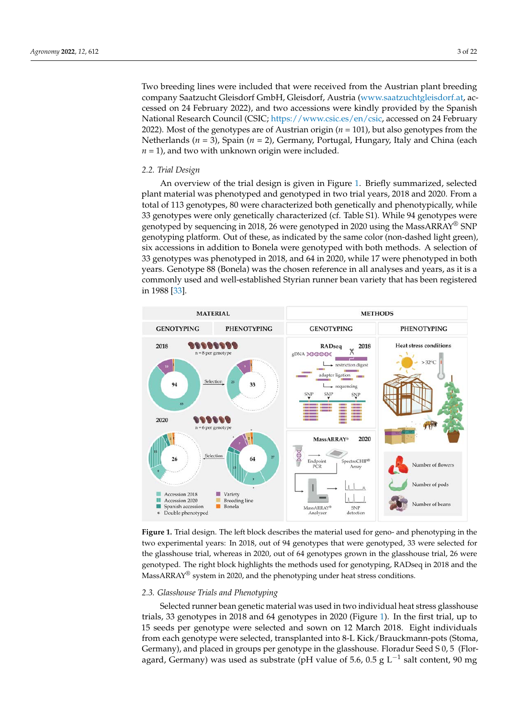Two breeding lines were included that were received from the Austrian plant breeding company Saatzucht Gleisdorf GmbH, Gleisdorf, Austria [\(www.saatzuchtgleisdorf.at,](www.saatzuchtgleisdorf.at) accessed on 24 February 2022), and two accessions were kindly provided by the Spanish National Research Council (CSIC; [https://www.csic.es/en/csic,](https://www.csic.es/en/csic) accessed on 24 February 2022). Most of the genotypes are of Austrian origin (*n* = 101), but also genotypes from the Netherlands (*n* = 3), Spain (*n* = 2), Germany, Portugal, Hungary, Italy and China (each  $n = 1$ ), and two with unknown origin were included.

### *2.2. Trial Design*

An overview of the trial design is given in Figure [1.](#page-2-0) Briefly summarized, selected plant material was phenotyped and genotyped in two trial years, 2018 and 2020. From a total of 113 genotypes, 80 were characterized both genetically and phenotypically, while 33 genotypes were only genetically characterized (cf. Table S1). While 94 genotypes were genotyped by sequencing in 2018, 26 were genotyped in 2020 using the MassARRAY<sup>®</sup> SNP genotyping platform. Out of these, as indicated by the same color (non-dashed light green), six accessions in addition to Bonela were genotyped with both methods. A selection of 33 genotypes was phenotyped in 2018, and 64 in 2020, while 17 were phenotyped in both years. Genotype 88 (Bonela) was the chosen reference in all analyses and years, as it is a commonly used and well-established Styrian runner bean variety that has been registered in 1988 [\[33\]](#page-20-5).

<span id="page-2-0"></span>

**Figure 1.** Trial design. The left block describes the material used for geno- and phenotyping in the two experimental years: In 2018, out of 94 genotypes that were genotyped, 33 were selected for the glasshouse trial, whereas in 2020, out of 64 genotypes grown in the glasshouse trial, 26 were genotyped. The right block highlights the methods used for genotyping, RADseq in 2018 and the MassARRAY® system in 2020, and the phenotyping under heat stress conditions.

#### *2.3. Glasshouse Trials and Phenotyping*

Selected runner bean genetic material was used in two individual heat stress glasshouse trials, 33 genotypes in 2018 and 64 genotypes in 2020 (Figure [1\)](#page-2-0). In the first trial, up to 15 seeds per genotype were selected and sown on 12 March 2018. Eight individuals from each genotype were selected, transplanted into 8-L Kick/Brauckmann-pots (Stoma, Germany), and placed in groups per genotype in the glasshouse. Floradur Seed S 0, 5 (Floragard, Germany) was used as substrate (pH value of 5.6, 0.5 g L<sup>-1</sup> salt content, 90 mg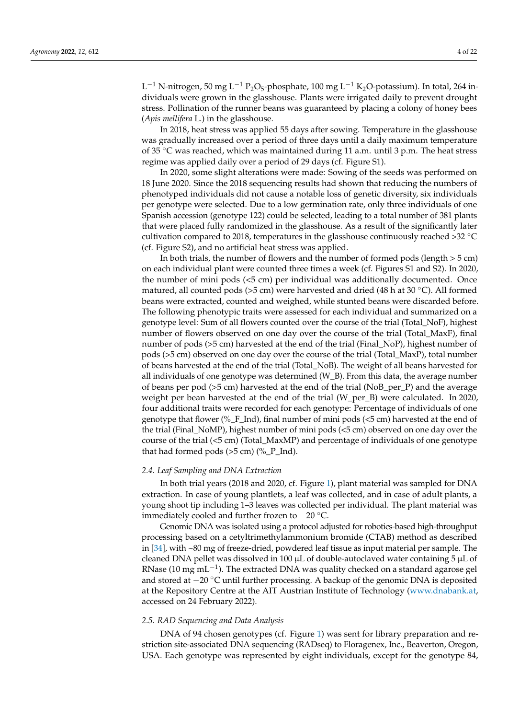$\rm L^{-1}$  N-nitrogen, 50 mg L<sup>-1</sup> P<sub>2</sub>O<sub>5</sub>-phosphate, 100 mg L<sup>-1</sup> K<sub>2</sub>O-potassium). In total, 264 individuals were grown in the glasshouse. Plants were irrigated daily to prevent drought stress. Pollination of the runner beans was guaranteed by placing a colony of honey bees (*Apis mellifera* L.) in the glasshouse.

In 2018, heat stress was applied 55 days after sowing. Temperature in the glasshouse was gradually increased over a period of three days until a daily maximum temperature of 35  $\degree$ C was reached, which was maintained during 11 a.m. until 3 p.m. The heat stress regime was applied daily over a period of 29 days (cf. Figure S1).

In 2020, some slight alterations were made: Sowing of the seeds was performed on 18 June 2020. Since the 2018 sequencing results had shown that reducing the numbers of phenotyped individuals did not cause a notable loss of genetic diversity, six individuals per genotype were selected. Due to a low germination rate, only three individuals of one Spanish accession (genotype 122) could be selected, leading to a total number of 381 plants that were placed fully randomized in the glasshouse. As a result of the significantly later cultivation compared to 2018, temperatures in the glasshouse continuously reached >32 ◦C (cf. Figure S2), and no artificial heat stress was applied.

In both trials, the number of flowers and the number of formed pods (length  $>$  5 cm) on each individual plant were counted three times a week (cf. Figures S1 and S2). In 2020, the number of mini pods (<5 cm) per individual was additionally documented. Once matured, all counted pods (>5 cm) were harvested and dried (48 h at 30 ◦C). All formed beans were extracted, counted and weighed, while stunted beans were discarded before. The following phenotypic traits were assessed for each individual and summarized on a genotype level: Sum of all flowers counted over the course of the trial (Total\_NoF), highest number of flowers observed on one day over the course of the trial (Total\_MaxF), final number of pods (>5 cm) harvested at the end of the trial (Final\_NoP), highest number of pods (>5 cm) observed on one day over the course of the trial (Total\_MaxP), total number of beans harvested at the end of the trial (Total\_NoB). The weight of all beans harvested for all individuals of one genotype was determined (W\_B). From this data, the average number of beans per pod (>5 cm) harvested at the end of the trial (NoB\_per\_P) and the average weight per bean harvested at the end of the trial (W\_per\_B) were calculated. In 2020, four additional traits were recorded for each genotype: Percentage of individuals of one genotype that flower (%\_F\_Ind), final number of mini pods (<5 cm) harvested at the end of the trial (Final\_NoMP), highest number of mini pods (<5 cm) observed on one day over the course of the trial (<5 cm) (Total\_MaxMP) and percentage of individuals of one genotype that had formed pods  $(>5 \text{ cm})$   $%$ <sup> $P_{1}$ </sup>nd).

## *2.4. Leaf Sampling and DNA Extraction*

In both trial years (2018 and 2020, cf. Figure [1\)](#page-2-0), plant material was sampled for DNA extraction. In case of young plantlets, a leaf was collected, and in case of adult plants, a young shoot tip including 1–3 leaves was collected per individual. The plant material was immediately cooled and further frozen to −20 ◦C.

Genomic DNA was isolated using a protocol adjusted for robotics-based high-throughput processing based on a cetyltrimethylammonium bromide (CTAB) method as described in [\[34\]](#page-20-6), with ~80 mg of freeze-dried, powdered leaf tissue as input material per sample. The cleaned DNA pellet was dissolved in 100 µL of double-autoclaved water containing 5 µL of RNase (10 mg mL<sup>-1</sup>). The extracted DNA was quality checked on a standard agarose gel and stored at −20 ◦C until further processing. A backup of the genomic DNA is deposited at the Repository Centre at the AIT Austrian Institute of Technology [\(www.dnabank.at,](www.dnabank.at) accessed on 24 February 2022).

## *2.5. RAD Sequencing and Data Analysis*

DNA of 94 chosen genotypes (cf. Figure [1\)](#page-2-0) was sent for library preparation and restriction site-associated DNA sequencing (RADseq) to Floragenex, Inc., Beaverton, Oregon, USA. Each genotype was represented by eight individuals, except for the genotype 84,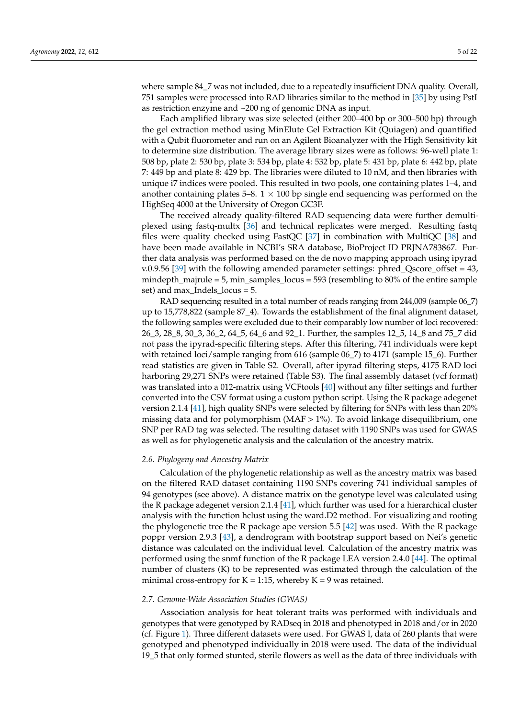where sample 84\_7 was not included, due to a repeatedly insufficient DNA quality. Overall, 751 samples were processed into RAD libraries similar to the method in [\[35\]](#page-20-7) by using PstI as restriction enzyme and ~200 ng of genomic DNA as input.

Each amplified library was size selected (either 200–400 bp or 300–500 bp) through the gel extraction method using MinElute Gel Extraction Kit (Quiagen) and quantified with a Qubit fluorometer and run on an Agilent Bioanalyzer with the High Sensitivity kit to determine size distribution. The average library sizes were as follows: 96-well plate 1: 508 bp, plate 2: 530 bp, plate 3: 534 bp, plate 4: 532 bp, plate 5: 431 bp, plate 6: 442 bp, plate 7: 449 bp and plate 8: 429 bp. The libraries were diluted to 10 nM, and then libraries with unique i7 indices were pooled. This resulted in two pools, one containing plates 1–4, and another containing plates 5–8.  $1 \times 100$  bp single end sequencing was performed on the HighSeq 4000 at the University of Oregon GC3F.

The received already quality-filtered RAD sequencing data were further demultiplexed using fastq-multx [\[36\]](#page-20-8) and technical replicates were merged. Resulting fastq files were quality checked using FastQC [\[37\]](#page-20-9) in combination with MultiQC [\[38\]](#page-20-10) and have been made available in NCBI's SRA database, BioProject ID PRJNA783867. Further data analysis was performed based on the de novo mapping approach using ipyrad v.0.9.56 [\[39\]](#page-20-11) with the following amended parameter settings: phred\_Qscore\_offset = 43, mindepth\_majrule = 5, min\_samples\_locus = 593 (resembling to 80% of the entire sample set) and max\_Indels\_locus = 5.

RAD sequencing resulted in a total number of reads ranging from 244,009 (sample 06\_7) up to 15,778,822 (sample 87\_4). Towards the establishment of the final alignment dataset, the following samples were excluded due to their comparably low number of loci recovered: 26\_3, 28\_8, 30\_3, 36\_2, 64\_5, 64\_6 and 92\_1. Further, the samples 12\_5, 14\_8 and 75\_7 did not pass the ipyrad-specific filtering steps. After this filtering, 741 individuals were kept with retained loci/sample ranging from 616 (sample 06\_7) to 4171 (sample 15\_6). Further read statistics are given in Table S2. Overall, after ipyrad filtering steps, 4175 RAD loci harboring 29,271 SNPs were retained (Table S3). The final assembly dataset (vcf format) was translated into a 012-matrix using VCFtools [\[40\]](#page-20-12) without any filter settings and further converted into the CSV format using a custom python script. Using the R package adegenet version 2.1.4 [\[41\]](#page-20-13), high quality SNPs were selected by filtering for SNPs with less than 20% missing data and for polymorphism (MAF > 1%). To avoid linkage disequilibrium, one SNP per RAD tag was selected. The resulting dataset with 1190 SNPs was used for GWAS as well as for phylogenetic analysis and the calculation of the ancestry matrix.

#### *2.6. Phylogeny and Ancestry Matrix*

Calculation of the phylogenetic relationship as well as the ancestry matrix was based on the filtered RAD dataset containing 1190 SNPs covering 741 individual samples of 94 genotypes (see above). A distance matrix on the genotype level was calculated using the R package adegenet version 2.1.4  $[41]$ , which further was used for a hierarchical cluster analysis with the function hclust using the ward.D2 method. For visualizing and rooting the phylogenetic tree the R package ape version 5.5 [\[42\]](#page-20-14) was used. With the R package poppr version 2.9.3 [\[43\]](#page-20-15), a dendrogram with bootstrap support based on Nei's genetic distance was calculated on the individual level. Calculation of the ancestry matrix was performed using the snmf function of the R package LEA version 2.4.0 [\[44\]](#page-20-16). The optimal number of clusters (K) to be represented was estimated through the calculation of the minimal cross-entropy for  $K = 1:15$ , whereby  $K = 9$  was retained.

#### *2.7. Genome-Wide Association Studies (GWAS)*

Association analysis for heat tolerant traits was performed with individuals and genotypes that were genotyped by RADseq in 2018 and phenotyped in 2018 and/or in 2020 (cf. Figure [1\)](#page-2-0). Three different datasets were used. For GWAS I, data of 260 plants that were genotyped and phenotyped individually in 2018 were used. The data of the individual 19\_5 that only formed stunted, sterile flowers as well as the data of three individuals with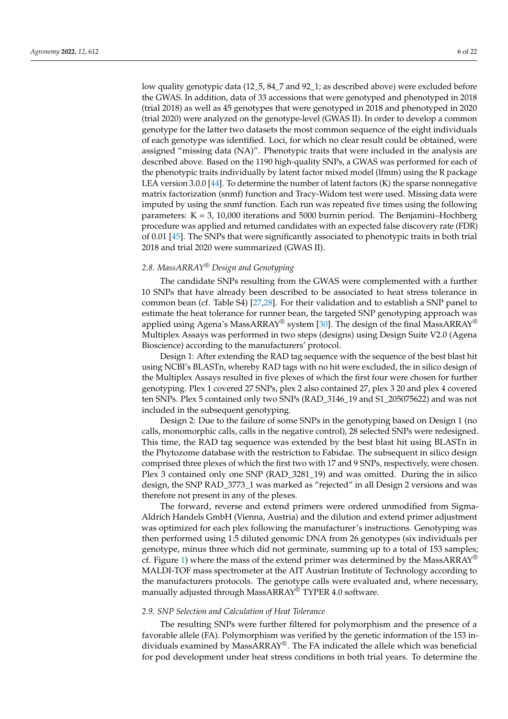low quality genotypic data (12\_5, 84\_7 and 92\_1; as described above) were excluded before the GWAS. In addition, data of 33 accessions that were genotyped and phenotyped in 2018 (trial 2018) as well as 45 genotypes that were genotyped in 2018 and phenotyped in 2020 (trial 2020) were analyzed on the genotype-level (GWAS II). In order to develop a common genotype for the latter two datasets the most common sequence of the eight individuals of each genotype was identified. Loci, for which no clear result could be obtained, were assigned "missing data (NA)". Phenotypic traits that were included in the analysis are described above. Based on the 1190 high-quality SNPs, a GWAS was performed for each of the phenotypic traits individually by latent factor mixed model (lfmm) using the R package LEA version 3.0.0 [\[44\]](#page-20-16). To determine the number of latent factors  $(K)$  the sparse nonnegative matrix factorization (snmf) function and Tracy-Widom test were used. Missing data were imputed by using the snmf function. Each run was repeated five times using the following parameters:  $K = 3$ , 10,000 iterations and 5000 burnin period. The Benjamini–Hochberg procedure was applied and returned candidates with an expected false discovery rate (FDR) of 0.01 [\[45\]](#page-20-17). The SNPs that were significantly associated to phenotypic traits in both trial 2018 and trial 2020 were summarized (GWAS II).

## *2.8. MassARRAY® Design and Genotyping*

The candidate SNPs resulting from the GWAS were complemented with a further 10 SNPs that have already been described to be associated to heat stress tolerance in common bean (cf. Table S4) [\[27,](#page-19-17)[28\]](#page-20-0). For their validation and to establish a SNP panel to estimate the heat tolerance for runner bean, the targeted SNP genotyping approach was applied using Agena's MassARRAY<sup>®</sup> system [\[30\]](#page-20-2). The design of the final MassARRAY<sup>®</sup> Multiplex Assays was performed in two steps (designs) using Design Suite V2.0 (Agena Bioscience) according to the manufacturers' protocol.

Design 1: After extending the RAD tag sequence with the sequence of the best blast hit using NCBI's BLASTn, whereby RAD tags with no hit were excluded, the in silico design of the Multiplex Assays resulted in five plexes of which the first four were chosen for further genotyping. Plex 1 covered 27 SNPs, plex 2 also contained 27, plex 3 20 and plex 4 covered ten SNPs. Plex 5 contained only two SNPs (RAD\_3146\_19 and S1\_205075622) and was not included in the subsequent genotyping.

Design 2: Due to the failure of some SNPs in the genotyping based on Design 1 (no calls, monomorphic calls, calls in the negative control), 28 selected SNPs were redesigned. This time, the RAD tag sequence was extended by the best blast hit using BLASTn in the Phytozome database with the restriction to Fabidae. The subsequent in silico design comprised three plexes of which the first two with 17 and 9 SNPs, respectively, were chosen. Plex 3 contained only one SNP (RAD\_3281\_19) and was omitted. During the in silico design, the SNP RAD\_3773\_1 was marked as "rejected" in all Design 2 versions and was therefore not present in any of the plexes.

The forward, reverse and extend primers were ordered unmodified from Sigma-Aldrich Handels GmbH (Vienna, Austria) and the dilution and extend primer adjustment was optimized for each plex following the manufacturer's instructions. Genotyping was then performed using 1:5 diluted genomic DNA from 26 genotypes (six individuals per genotype, minus three which did not germinate, summing up to a total of 153 samples; cf. Figure [1\)](#page-2-0) where the mass of the extend primer was determined by the MassARRAY<sup>®</sup> MALDI-TOF mass spectrometer at the AIT Austrian Institute of Technology according to the manufacturers protocols. The genotype calls were evaluated and, where necessary, manually adjusted through MassARRAY® TYPER 4.0 software.

## *2.9. SNP Selection and Calculation of Heat Tolerance*

The resulting SNPs were further filtered for polymorphism and the presence of a favorable allele (FA). Polymorphism was verified by the genetic information of the 153 individuals examined by Mass $ARRAY^{\circledast}$ . The FA indicated the allele which was beneficial for pod development under heat stress conditions in both trial years. To determine the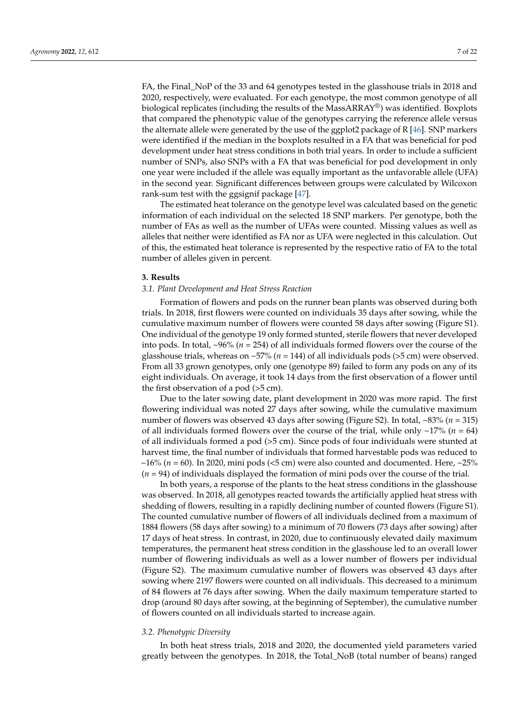FA, the Final\_NoP of the 33 and 64 genotypes tested in the glasshouse trials in 2018 and 2020, respectively, were evaluated. For each genotype, the most common genotype of all biological replicates (including the results of the MassARRAY®) was identified. Boxplots that compared the phenotypic value of the genotypes carrying the reference allele versus the alternate allele were generated by the use of the ggplot2 package of R [\[46\]](#page-20-18). SNP markers were identified if the median in the boxplots resulted in a FA that was beneficial for pod development under heat stress conditions in both trial years. In order to include a sufficient number of SNPs, also SNPs with a FA that was beneficial for pod development in only one year were included if the allele was equally important as the unfavorable allele (UFA) in the second year. Significant differences between groups were calculated by Wilcoxon rank-sum test with the ggsignif package [\[47\]](#page-20-19).

The estimated heat tolerance on the genotype level was calculated based on the genetic information of each individual on the selected 18 SNP markers. Per genotype, both the number of FAs as well as the number of UFAs were counted. Missing values as well as alleles that neither were identified as FA nor as UFA were neglected in this calculation. Out of this, the estimated heat tolerance is represented by the respective ratio of FA to the total number of alleles given in percent.

## **3. Results**

#### *3.1. Plant Development and Heat Stress Reaction*

Formation of flowers and pods on the runner bean plants was observed during both trials. In 2018, first flowers were counted on individuals 35 days after sowing, while the cumulative maximum number of flowers were counted 58 days after sowing (Figure S1). One individual of the genotype 19 only formed stunted, sterile flowers that never developed into pods. In total, ~96% (*n* = 254) of all individuals formed flowers over the course of the glasshouse trials, whereas on ~57% (*n* = 144) of all individuals pods (>5 cm) were observed. From all 33 grown genotypes, only one (genotype 89) failed to form any pods on any of its eight individuals. On average, it took 14 days from the first observation of a flower until the first observation of a pod (>5 cm).

Due to the later sowing date, plant development in 2020 was more rapid. The first flowering individual was noted 27 days after sowing, while the cumulative maximum number of flowers was observed 43 days after sowing (Figure S2). In total, ~83% (*n* = 315) of all individuals formed flowers over the course of the trial, while only  $\sim$ 17% (*n* = 64) of all individuals formed a pod (>5 cm). Since pods of four individuals were stunted at harvest time, the final number of individuals that formed harvestable pods was reduced to  $\sim$ 16% ( $n = 60$ ). In 2020, mini pods (<5 cm) were also counted and documented. Here,  $\sim$ 25% (*n* = 94) of individuals displayed the formation of mini pods over the course of the trial.

In both years, a response of the plants to the heat stress conditions in the glasshouse was observed. In 2018, all genotypes reacted towards the artificially applied heat stress with shedding of flowers, resulting in a rapidly declining number of counted flowers (Figure S1). The counted cumulative number of flowers of all individuals declined from a maximum of 1884 flowers (58 days after sowing) to a minimum of 70 flowers (73 days after sowing) after 17 days of heat stress. In contrast, in 2020, due to continuously elevated daily maximum temperatures, the permanent heat stress condition in the glasshouse led to an overall lower number of flowering individuals as well as a lower number of flowers per individual (Figure S2). The maximum cumulative number of flowers was observed 43 days after sowing where 2197 flowers were counted on all individuals. This decreased to a minimum of 84 flowers at 76 days after sowing. When the daily maximum temperature started to drop (around 80 days after sowing, at the beginning of September), the cumulative number of flowers counted on all individuals started to increase again.

#### *3.2. Phenotypic Diversity*

In both heat stress trials, 2018 and 2020, the documented yield parameters varied greatly between the genotypes. In 2018, the Total\_NoB (total number of beans) ranged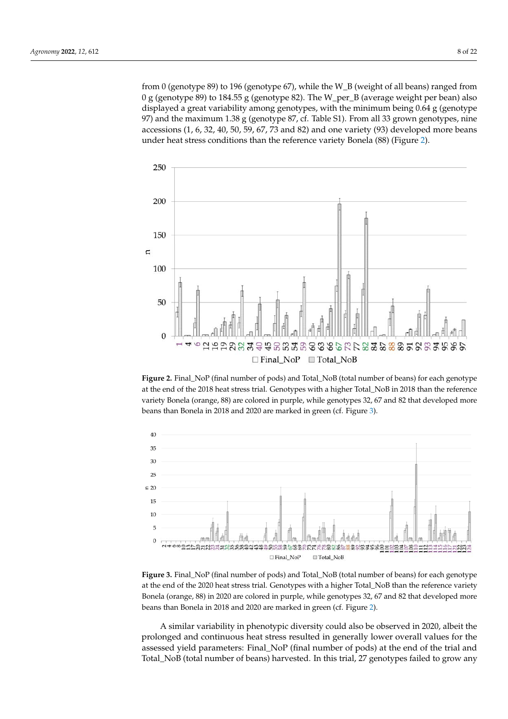from 0 (genotype 89) to 196 (genotype 67), while the W\_B (weight of all beans) ranged from 0 g (genotype 89) to 184.55 g (genotype 82). The W\_per\_B (average weight per bean) also displayed a great variability among genotypes, with the minimum being 0.64 g (genotype 97) and the maximum 1.38 g (genotype 87, cf. Table S1). From all 33 grown genotypes, nine accessions (1, 6, 32, 40, 50, 59, 67, 73 and 82) and one variety (93) developed more beans under heat stress conditions than the reference variety Bonela (88) (Figure [2\)](#page-7-0).

<span id="page-7-0"></span>

**Figure 2.** Final\_NoP (final number of pods) and Total\_NoB (total number of beans) for each genotype at the end of the 2018 heat stress trial. Genotypes with a higher Total\_NoB in 2018 than the reference variety Bonela (orange, 88) are colored in purple, while genotypes 32, 67 and 82 that developed more beans than Bonela in 2018 and 2020 are marked in green (cf. Figure [3\)](#page-7-1).

<span id="page-7-1"></span>

**Figure 3.** Final\_NoP (final number of pods) and Total\_NoB (total number of beans) for each genotype at the end of the 2020 heat stress trial. Genotypes with a higher Total\_NoB than the reference variety Bonela (orange, 88) in 2020 are colored in purple, while genotypes 32, 67 and 82 that developed more beans than Bonela in 2018 and 2020 are marked in green (cf. Figure [2\)](#page-7-0).

A similar variability in phenotypic diversity could also be observed in 2020, albeit the prolonged and continuous heat stress resulted in generally lower overall values for the assessed yield parameters: Final\_NoP (final number of pods) at the end of the trial and Total\_NoB (total number of beans) harvested. In this trial, 27 genotypes failed to grow any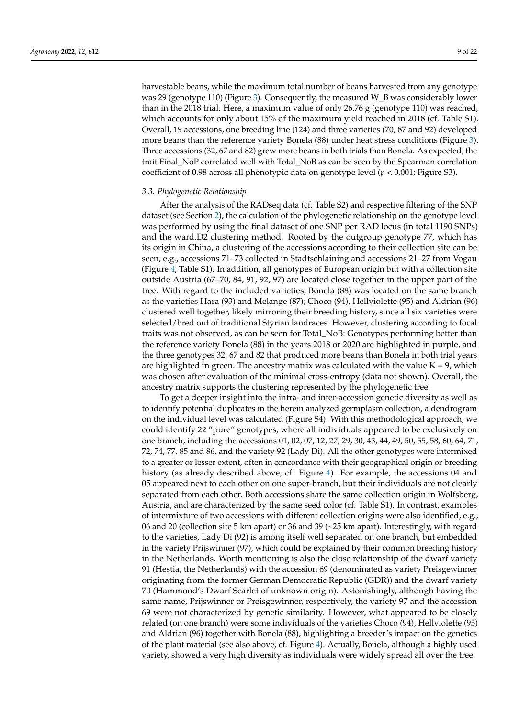harvestable beans, while the maximum total number of beans harvested from any genotype was 29 (genotype 110) (Figure [3\)](#page-7-1). Consequently, the measured W\_B was considerably lower than in the 2018 trial. Here, a maximum value of only 26.76 g (genotype 110) was reached, which accounts for only about 15% of the maximum yield reached in 2018 (cf. Table S1). Overall, 19 accessions, one breeding line (124) and three varieties (70, 87 and 92) developed more beans than the reference variety Bonela (88) under heat stress conditions (Figure [3\)](#page-7-1). Three accessions (32, 67 and 82) grew more beans in both trials than Bonela. As expected, the trait Final\_NoP correlated well with Total\_NoB as can be seen by the Spearman correlation coefficient of 0.98 across all phenotypic data on genotype level  $(p < 0.001)$ ; Figure S3).

## *3.3. Phylogenetic Relationship*

After the analysis of the RADseq data (cf. Table S2) and respective filtering of the SNP dataset (see Section [2\)](#page-1-0), the calculation of the phylogenetic relationship on the genotype level was performed by using the final dataset of one SNP per RAD locus (in total 1190 SNPs) and the ward.D2 clustering method. Rooted by the outgroup genotype 77, which has its origin in China, a clustering of the accessions according to their collection site can be seen, e.g., accessions 71–73 collected in Stadtschlaining and accessions 21–27 from Vogau (Figure [4,](#page-9-0) Table S1). In addition, all genotypes of European origin but with a collection site outside Austria (67–70, 84, 91, 92, 97) are located close together in the upper part of the tree. With regard to the included varieties, Bonela (88) was located on the same branch as the varieties Hara (93) and Melange (87); Choco (94), Hellviolette (95) and Aldrian (96) clustered well together, likely mirroring their breeding history, since all six varieties were selected/bred out of traditional Styrian landraces. However, clustering according to focal traits was not observed, as can be seen for Total\_NoB: Genotypes performing better than the reference variety Bonela (88) in the years 2018 or 2020 are highlighted in purple, and the three genotypes 32, 67 and 82 that produced more beans than Bonela in both trial years are highlighted in green. The ancestry matrix was calculated with the value  $K = 9$ , which was chosen after evaluation of the minimal cross-entropy (data not shown). Overall, the ancestry matrix supports the clustering represented by the phylogenetic tree.

To get a deeper insight into the intra- and inter-accession genetic diversity as well as to identify potential duplicates in the herein analyzed germplasm collection, a dendrogram on the individual level was calculated (Figure S4). With this methodological approach, we could identify 22 "pure" genotypes, where all individuals appeared to be exclusively on one branch, including the accessions 01, 02, 07, 12, 27, 29, 30, 43, 44, 49, 50, 55, 58, 60, 64, 71, 72, 74, 77, 85 and 86, and the variety 92 (Lady Di). All the other genotypes were intermixed to a greater or lesser extent, often in concordance with their geographical origin or breeding history (as already described above, cf. Figure [4\)](#page-9-0). For example, the accessions 04 and 05 appeared next to each other on one super-branch, but their individuals are not clearly separated from each other. Both accessions share the same collection origin in Wolfsberg, Austria, and are characterized by the same seed color (cf. Table S1). In contrast, examples of intermixture of two accessions with different collection origins were also identified, e.g., 06 and 20 (collection site 5 km apart) or 36 and 39 (~25 km apart). Interestingly, with regard to the varieties, Lady Di (92) is among itself well separated on one branch, but embedded in the variety Prijswinner (97), which could be explained by their common breeding history in the Netherlands. Worth mentioning is also the close relationship of the dwarf variety 91 (Hestia, the Netherlands) with the accession 69 (denominated as variety Preisgewinner originating from the former German Democratic Republic (GDR)) and the dwarf variety 70 (Hammond's Dwarf Scarlet of unknown origin). Astonishingly, although having the same name, Prijswinner or Preisgewinner, respectively, the variety 97 and the accession 69 were not characterized by genetic similarity. However, what appeared to be closely related (on one branch) were some individuals of the varieties Choco (94), Hellviolette (95) and Aldrian (96) together with Bonela (88), highlighting a breeder's impact on the genetics of the plant material (see also above, cf. Figure [4\)](#page-9-0). Actually, Bonela, although a highly used variety, showed a very high diversity as individuals were widely spread all over the tree.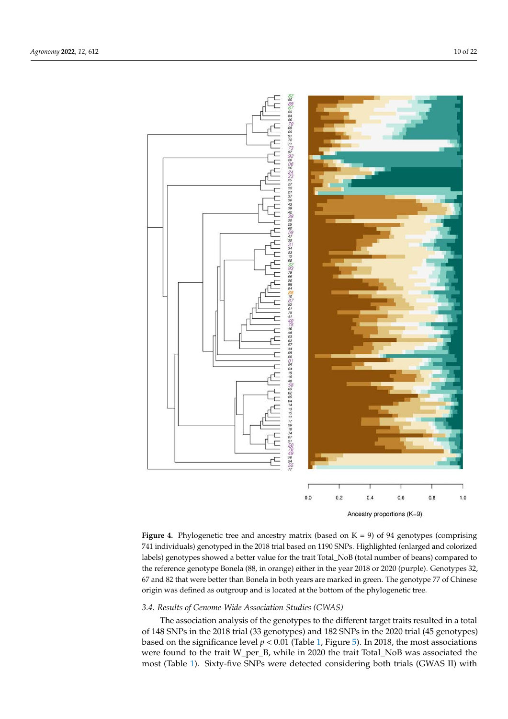

<span id="page-9-0"></span>

**Figure 4.** Phylogenetic tree and ancestry matrix (based on  $K = 9$ ) of 94 genotypes (comprising 741 individuals) genotyped in the 2018 trial based on 1190 SNPs. Highlighted (enlarged and colorized labels) genotypes showed a better value for the trait Total\_NoB (total number of beans) compared to the reference genotype Bonela (88, in orange) either in the year 2018 or 2020 (purple). Genotypes 32, 67 and 82 that were better than Bonela in both years are marked in green. The genotype 77 of Chinese origin was defined as outgroup and is located at the bottom of the phylogenetic tree.

## *3.4. Results of Genome-Wide Association Studies (GWAS)*

The association analysis of the genotypes to the different target traits resulted in a total of 148 SNPs in the 2018 trial (33 genotypes) and 182 SNPs in the 2020 trial (45 genotypes) based on the significance level  $p < 0.01$  (Table [1,](#page-10-0) Figure [5\)](#page-10-1). In 2018, the most associations were found to the trait W\_per\_B, while in 2020 the trait Total\_NoB was associated the most (Table [1\)](#page-10-0). Sixty-five SNPs were detected considering both trials (GWAS II) with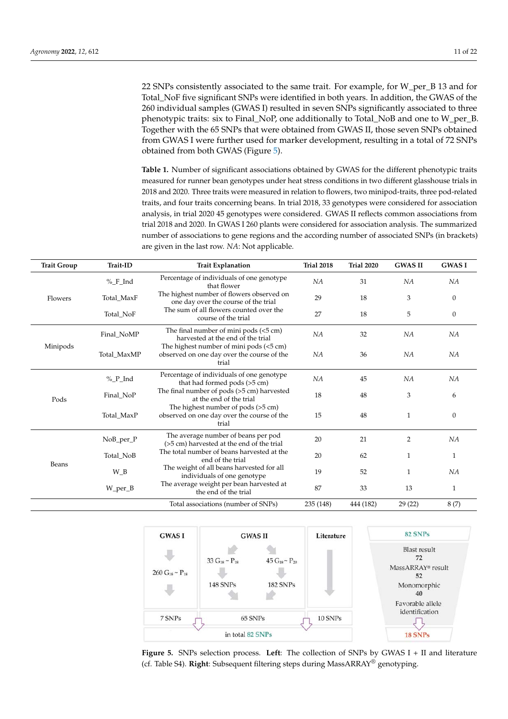<span id="page-10-2"></span>22 SNPs consistently associated to the same trait. For example, for W\_per\_B 13 and for Total\_NoF five significant SNPs were identified in both years. In addition, the GWAS of the 260 individual samples (GWAS I) resulted in seven SNPs significantly associated to three phenotypic traits: six to Final\_NoP, one additionally to Total\_NoB and one to W\_per\_B. Together with the 65 SNPs that were obtained from GWAS II, those seven SNPs obtained from GWAS I were further used for marker development, resulting in a total of 72 SNPs obtained from both GWAS (Figure [5\)](#page-10-1).

<span id="page-10-0"></span>**Table 1.** Number of significant associations obtained by GWAS for the different phenotypic traits measured for runner bean genotypes under heat stress conditions in two different glasshouse trials in 2018 and 2020. Three traits were measured in relation to flowers, two minipod-traits, three pod-related traits, and four traits concerning beans. In trial 2018, 33 genotypes were considered for association analysis, in trial 2020 45 genotypes were considered. GWAS II reflects common associations from trial 2018 and 2020. In GWAS I 260 plants were considered for association analysis. The summarized number of associations to gene regions and the according number of associated SNPs (in brackets) are given in the last row. *NA*: Not applicable.

| <b>Trait Group</b> | Trait-ID    | <b>Trait Explanation</b>                                                                       | <b>Trial 2018</b> | <b>Trial 2020</b> | <b>GWAS II</b> | <b>GWASI</b>     |
|--------------------|-------------|------------------------------------------------------------------------------------------------|-------------------|-------------------|----------------|------------------|
|                    | %_F_Ind     | Percentage of individuals of one genotype<br>that flower                                       | NA                | 31                | NA             | NA               |
| Flowers            | Total MaxF  | The highest number of flowers observed on<br>one day over the course of the trial              | 29                | 18                | 3              | $\boldsymbol{0}$ |
|                    | Total_NoF   | The sum of all flowers counted over the<br>course of the trial                                 | 27                | 18                | 5              | $\boldsymbol{0}$ |
|                    | Final_NoMP  | The final number of mini pods $(<5 \text{ cm})$<br>harvested at the end of the trial           | NA                | 32                | NA             | NA               |
| Minipods           | Total_MaxMP | The highest number of mini pods (<5 cm)<br>observed on one day over the course of the<br>trial | NA                | 36                | NA             | NA               |
|                    | %_P_Ind     | Percentage of individuals of one genotype<br>that had formed pods (>5 cm)                      | NA                | 45                | NA             | NA               |
| Pods               | Final_NoP   | The final number of pods (>5 cm) harvested<br>at the end of the trial                          | 18                | 48                | 3              | 6                |
|                    | Total MaxP  | The highest number of pods $(>5$ cm)<br>observed on one day over the course of the<br>trial    | 15                | 48                | $\mathbf{1}$   | $\mathbf{0}$     |
|                    | NoB_per_P   | The average number of beans per pod<br>(>5 cm) harvested at the end of the trial               | 20                | 21                | $\overline{2}$ | NA               |
|                    | Total NoB   | The total number of beans harvested at the<br>end of the trial                                 | 20                | 62                | 1              | 1                |
| Beans              | $W_B$       | The weight of all beans harvested for all<br>individuals of one genotype                       | 19                | 52                | $\mathbf{1}$   | NA               |
|                    | W_per_B     | The average weight per bean harvested at<br>the end of the trial                               | 87                | 33                | 13             | 1                |
|                    |             | Total associations (number of SNPs)                                                            | 235 (148)         | 444 (182)         | 29(22)         | 8(7)             |

<span id="page-10-1"></span>

**Figure 5.** SNPs selection process. **Left**: The collection of SNPs by GWAS I + II and literature (cf. Table S4). **Right**: Subsequent filtering steps during MassARRAY® genotyping.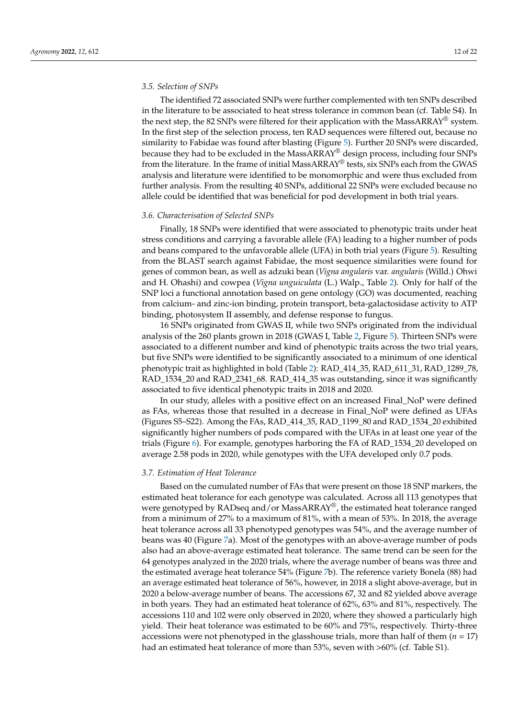## *3.5. Selection of SNPs*

The identified 72 associated SNPs were further complemented with ten SNPs described in the literature to be associated to heat stress tolerance in common bean (cf. Table S4). In the next step, the 82 SNPs were filtered for their application with the MassARRAY<sup>®</sup> system. In the first step of the selection process, ten RAD sequences were filtered out, because no similarity to Fabidae was found after blasting (Figure [5\)](#page-10-1). Further 20 SNPs were discarded, because they had to be excluded in the MassARRAY® design process, including four SNPs from the literature. In the frame of initial MassARRAY® tests, six SNPs each from the GWAS analysis and literature were identified to be monomorphic and were thus excluded from further analysis. From the resulting 40 SNPs, additional 22 SNPs were excluded because no allele could be identified that was beneficial for pod development in both trial years.

## *3.6. Characterisation of Selected SNPs*

Finally, 18 SNPs were identified that were associated to phenotypic traits under heat stress conditions and carrying a favorable allele (FA) leading to a higher number of pods and beans compared to the unfavorable allele (UFA) in both trial years (Figure [5\)](#page-10-1). Resulting from the BLAST search against Fabidae, the most sequence similarities were found for genes of common bean, as well as adzuki bean (*Vigna angularis* var. *angularis* (Willd.) Ohwi and H. Ohashi) and cowpea (*Vigna unguiculata* (L.) Walp., Table [2\)](#page-12-0). Only for half of the SNP loci a functional annotation based on gene ontology (GO) was documented, reaching from calcium- and zinc-ion binding, protein transport, beta-galactosidase activity to ATP binding, photosystem II assembly, and defense response to fungus.

16 SNPs originated from GWAS II, while two SNPs originated from the individual analysis of the 260 plants grown in 2018 (GWAS I, Table [2,](#page-12-0) Figure [5\)](#page-10-1). Thirteen SNPs were associated to a different number and kind of phenotypic traits across the two trial years, but five SNPs were identified to be significantly associated to a minimum of one identical phenotypic trait as highlighted in bold (Table [2\)](#page-12-0): RAD\_414\_35, RAD\_611\_31, RAD\_1289\_78, RAD\_1534\_20 and RAD\_2341\_68. RAD\_414\_35 was outstanding, since it was significantly associated to five identical phenotypic traits in 2018 and 2020.

In our study, alleles with a positive effect on an increased Final\_NoP were defined as FAs, whereas those that resulted in a decrease in Final\_NoP were defined as UFAs (Figures S5–S22). Among the FAs, RAD\_414\_35, RAD\_1199\_80 and RAD\_1534\_20 exhibited significantly higher numbers of pods compared with the UFAs in at least one year of the trials (Figure [6\)](#page-14-0). For example, genotypes harboring the FA of RAD\_1534\_20 developed on average 2.58 pods in 2020, while genotypes with the UFA developed only 0.7 pods.

#### *3.7. Estimation of Heat Tolerance*

Based on the cumulated number of FAs that were present on those 18 SNP markers, the estimated heat tolerance for each genotype was calculated. Across all 113 genotypes that were genotyped by RADseq and/or MassARRAY®, the estimated heat tolerance ranged from a minimum of 27% to a maximum of 81%, with a mean of 53%. In 2018, the average heat tolerance across all 33 phenotyped genotypes was 54%, and the average number of beans was 40 (Figure [7a](#page-14-1)). Most of the genotypes with an above-average number of pods also had an above-average estimated heat tolerance. The same trend can be seen for the 64 genotypes analyzed in the 2020 trials, where the average number of beans was three and the estimated average heat tolerance 54% (Figure [7b](#page-14-1)). The reference variety Bonela (88) had an average estimated heat tolerance of 56%, however, in 2018 a slight above-average, but in 2020 a below-average number of beans. The accessions 67, 32 and 82 yielded above average in both years. They had an estimated heat tolerance of 62%, 63% and 81%, respectively. The accessions 110 and 102 were only observed in 2020, where they showed a particularly high yield. Their heat tolerance was estimated to be 60% and 75%, respectively. Thirty-three accessions were not phenotyped in the glasshouse trials, more than half of them (*n* = 17) had an estimated heat tolerance of more than 53%, seven with >60% (cf. Table S1).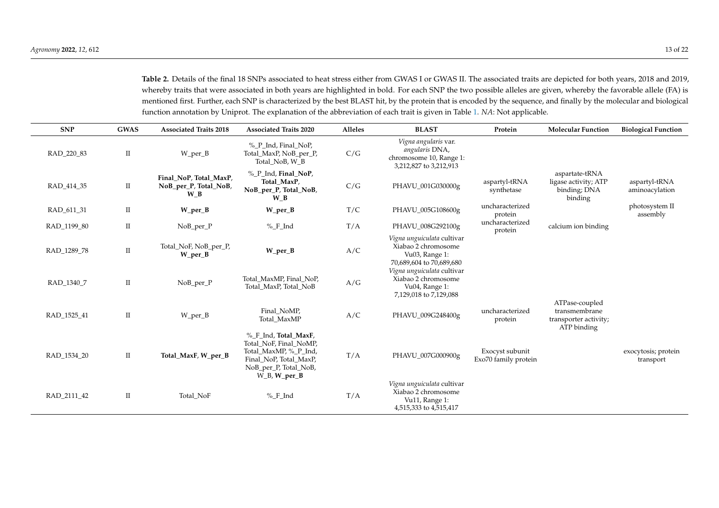Table 2. Details of the final 18 SNPs associated to heat stress either from GWAS I or GWAS II. The associated traits are depicted for both years, 2018 and 2019, whereby traits that were associated in both years are highlighted in bold. For each SNP the two possible alleles are given, whereby the favorable allele (FA) is mentioned first. Further, each SNP is characterized by the best BLAST hit, by the protein that is encoded by the sequence, and finally by the molecular and biological function annotation by Uniprot. The explanation of the abbreviation of each trait is given in Table [1.](#page-10-2) *NA*: Not applicable.

<span id="page-12-0"></span>

| <b>SNP</b>  | <b>GWAS</b>          | <b>Associated Traits 2018</b>                          | <b>Associated Traits 2020</b>                                                                                                                    | <b>Alleles</b> | <b>BLAST</b>                                                                                               | Protein                                 | <b>Molecular Function</b>                                               | <b>Biological Function</b>       |
|-------------|----------------------|--------------------------------------------------------|--------------------------------------------------------------------------------------------------------------------------------------------------|----------------|------------------------------------------------------------------------------------------------------------|-----------------------------------------|-------------------------------------------------------------------------|----------------------------------|
| RAD 220 83  | $\mathbf{I}$         | W_per_B                                                | % P Ind, Final NoP,<br>Total_MaxP, NoB_per_P,<br>Total NoB, W B                                                                                  | C/G            | Vigna angularis var.<br>angularis DNA,<br>chromosome 10, Range 1:<br>3,212,827 to 3,212,913                |                                         |                                                                         |                                  |
| RAD 414 35  | $\scriptstyle\rm II$ | Final NoP, Total MaxP,<br>NoB_per_P, Total_NoB,<br>W B | % P Ind, Final NoP,<br>Total MaxP,<br>NoB_per_P, Total_NoB,<br>$W_B$                                                                             | C/G            | PHAVU_001G030000g                                                                                          | aspartyl-tRNA<br>synthetase             | aspartate-tRNA<br>ligase activity; ATP<br>binding; DNA<br>binding       | aspartyl-tRNA<br>aminoacylation  |
| RAD 611 31  | П                    | $W_{per}B$                                             | $W_{per\_B}$                                                                                                                                     | T/C            | PHAVU_005G108600g                                                                                          | uncharacterized<br>protein              |                                                                         | photosystem II<br>assembly       |
| RAD_1199_80 | $\rm II$             | NoB_per_P                                              | %F_Ind                                                                                                                                           | T/A            | PHAVU_008G292100g                                                                                          | uncharacterized<br>protein              | calcium ion binding                                                     |                                  |
| RAD 1289 78 | $\scriptstyle\rm II$ | Total_NoF, NoB_per_P,<br>$W_{per}B$                    | W_per_B                                                                                                                                          | A/C            | Vigna unguiculata cultivar<br>Xiabao 2 chromosome<br>Vu03, Range 1:<br>70,689,604 to 70,689,680            |                                         |                                                                         |                                  |
| RAD_1340_7  | $\mathbf{I}$         | NoB_per_P                                              | Total_MaxMP, Final_NoP,<br>Total MaxP, Total NoB                                                                                                 | A/G            | Vigna unguiculata cultivar<br>Xiabao 2 chromosome<br>Vu04, Range 1:<br>7,129,018 to 7,129,088              |                                         |                                                                         |                                  |
| RAD_1525_41 | П                    | W_per_B                                                | Final_NoMP,<br>Total_MaxMP                                                                                                                       | A/C            | PHAVU_009G248400g                                                                                          | uncharacterized<br>protein              | ATPase-coupled<br>transmembrane<br>transporter activity;<br>ATP binding |                                  |
| RAD_1534_20 | П                    | Total_MaxF, W_per_B                                    | % F_Ind, Total_MaxF,<br>Total NoF, Final NoMP,<br>Total_MaxMP, %_P_Ind,<br>Final_NoP, Total_MaxP,<br>NoB_per_P, Total_NoB,<br>$W_B$ , $W_p$ er_B | T/A            | PHAVU_007G000900g                                                                                          | Exocyst subunit<br>Exo70 family protein |                                                                         | exocytosis; protein<br>transport |
| RAD_2111_42 | П                    | Total NoF                                              | %F_Ind                                                                                                                                           | T/A            | Vigna unguiculata cultivar<br>Xiabao 2 chromosome<br>Vu <sub>11</sub> , Range 1:<br>4,515,333 to 4,515,417 |                                         |                                                                         |                                  |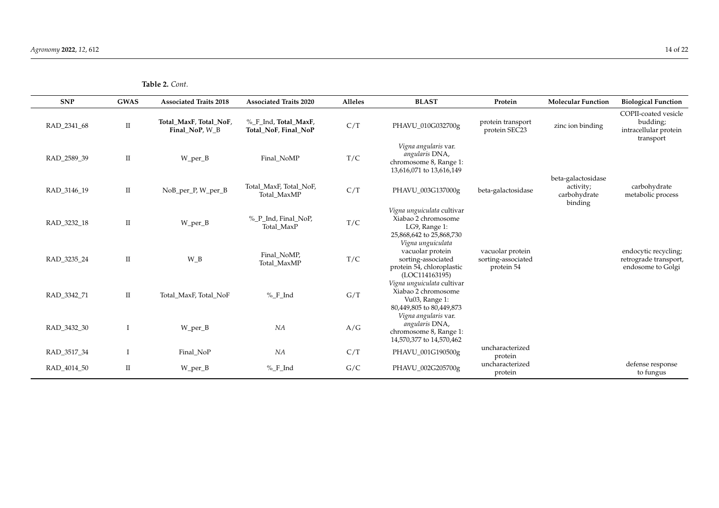**Table 2.** *Cont.*

| <b>SNP</b>  | <b>GWAS</b> | <b>Associated Traits 2018</b>            | <b>Associated Traits 2020</b>                | Alleles | <b>BLAST</b>                                                                                               | Protein                                              | <b>Molecular Function</b>                                  | <b>Biological Function</b>                                             |
|-------------|-------------|------------------------------------------|----------------------------------------------|---------|------------------------------------------------------------------------------------------------------------|------------------------------------------------------|------------------------------------------------------------|------------------------------------------------------------------------|
| RAD 2341 68 | $\rm II$    | Total_MaxF, Total_NoF,<br>Final_NoP, W_B | % F_Ind, Total_MaxF,<br>Total NoF, Final NoP | C/T     | PHAVU_010G032700g                                                                                          | protein transport<br>protein SEC23                   | zinc ion binding                                           | COPII-coated vesicle<br>budding;<br>intracellular protein<br>transport |
| RAD_2589_39 | $\rm II$    | W_per_B                                  | Final_NoMP                                   | T/C     | Vigna angularis var.<br>angularis DNA,<br>chromosome 8, Range 1:<br>13,616,071 to 13,616,149               |                                                      |                                                            |                                                                        |
| RAD_3146_19 | $\rm II$    | NoB_per_P, W_per_B                       | Total MaxF, Total NoF,<br>Total MaxMP        | C/T     | PHAVU_003G137000g                                                                                          | beta-galactosidase                                   | beta-galactosidase<br>activity;<br>carbohydrate<br>binding | carbohydrate<br>metabolic process                                      |
| RAD 3232 18 | $\rm II$    | W_per_B                                  | %_P_Ind, Final_NoP,<br>Total_MaxP            | T/C     | Vigna unguiculata cultivar<br>Xiabao 2 chromosome<br>LG9, Range 1:<br>25,868,642 to 25,868,730             |                                                      |                                                            |                                                                        |
| RAD 3235 24 | $\rm II$    | $W_B$                                    | Final_NoMP,<br>Total MaxMP                   | T/C     | Vigna unguiculata<br>vacuolar protein<br>sorting-associated<br>protein 54, chloroplastic<br>(LOC114163195) | vacuolar protein<br>sorting-associated<br>protein 54 |                                                            | endocytic recycling;<br>retrograde transport,<br>endosome to Golgi     |
| RAD_3342_71 | $\rm{II}$   | Total_MaxF, Total_NoF                    | $%$ <sub>-F</sub> _Ind                       | G/T     | Vigna unguiculata cultivar<br>Xiabao 2 chromosome<br>Vu03, Range 1:<br>80,449,805 to 80,449,873            |                                                      |                                                            |                                                                        |
| RAD 3432 30 |             | W_per_B                                  | NA                                           | A/G     | Vigna angularis var.<br>angularis DNA,<br>chromosome 8, Range 1:<br>14,570,377 to 14,570,462               |                                                      |                                                            |                                                                        |
| RAD_3517_34 |             | Final_NoP                                | NA                                           | C/T     | PHAVU_001G190500g                                                                                          | uncharacterized<br>protein                           |                                                            |                                                                        |
| RAD_4014_50 | $\rm II$    | W_per_B                                  | %_F_Ind                                      | G/C     | PHAVU_002G205700g                                                                                          | uncharacterized<br>protein                           |                                                            | defense response<br>to fungus                                          |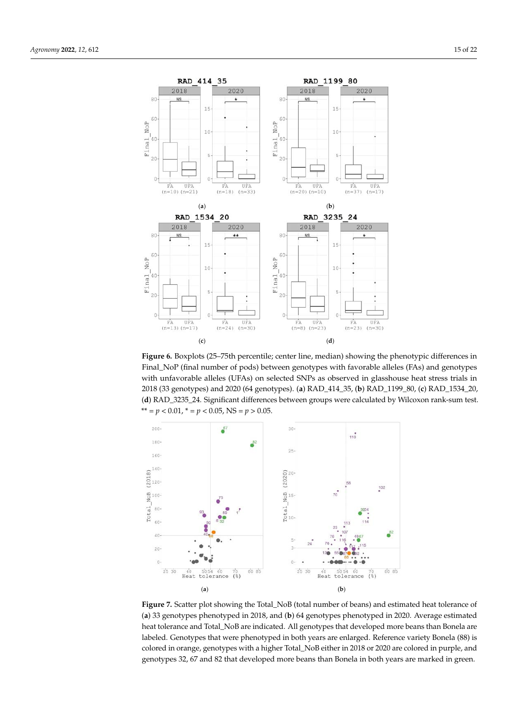<span id="page-14-0"></span>

**Figure 6.** Boxplots (25–75th percentile; center line, median) showing the phenotypic differences in **Figure 6.** Boxplots (25–75th percentile; center line, median) showing the phenotypic differences in  $\frac{1}{\sqrt{2}}$  (final number of pods) between genotypes with favorable alleles (FAS) and genotypes with favorable alleles (FAS) and genotypes with  $\frac{1}{\sqrt{2}}$ Final\_NoP (final number of pods) between genotypes with favorable alleles (FAs) and genotypes with unfavorable alleles (UFAs) on selected SNPs as observed in glasshouse heat stress trials in  $R$ 2018 (33 genotypes) and 2020 (64 genotypes). (**a**) RAD\_414\_35, **(b**) RAD\_1199\_80, **(c**) RAD\_1534\_20, *3.7. Estimation of Heat Tolerance* \*\* =  $p < 0.01$ , \* =  $p < 0.05$ , NS =  $p > 0.05$ . (d) RAD\_3235\_24. Significant differences between groups were calculated by Wilcoxon rank-sum test.  $\mu$  aneles (OTAS) on selected  $\beta$ NTS as observed in glasshouse heat stres  $\sim$   $\sim$   $\sim$ 

<span id="page-14-1"></span>

**Figure 7.** Scatter plot showing the Total\_NoB (total number of beans) and estimated heat tolerance **Figure 7.** Scatter plot showing the Total\_NoB (total number of beans) and estimated heat tolerance of (a) 33 genotypes phenotyped in 2018, and (b) 64 genotypes phenotyped in 2020. Average estimated  $B_{\text{total}}$  are labeled. Genomic discreted. Genomic phenotypes that descripes dimensional booms than heat tolerance and Total\_NoB are indicated. All genotypes that developed more beans than Bonela are labeled. Genotypes that were phenotyped in both years are enlarged. Reference variety Bonela (88) is colored in orange, genotypes with a higher Total\_NoB either in 2018 or 2020 are colored in purple, and **4. Discussion** genotypes 32, 67 and 82 that developed more beans than Bonela in both years are marked in green.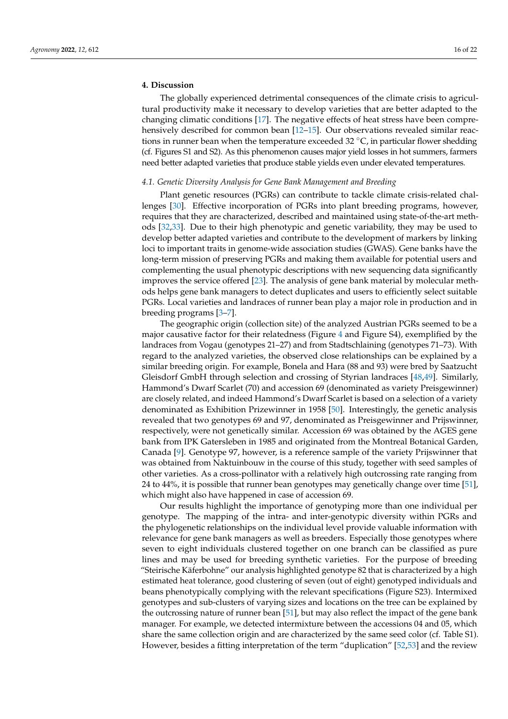## **4. Discussion**

The globally experienced detrimental consequences of the climate crisis to agricultural productivity make it necessary to develop varieties that are better adapted to the changing climatic conditions [\[17\]](#page-19-9). The negative effects of heat stress have been comprehensively described for common bean [\[12–](#page-19-6)[15\]](#page-19-7). Our observations revealed similar reactions in runner bean when the temperature exceeded 32 °C, in particular flower shedding (cf. Figures S1 and S2). As this phenomenon causes major yield losses in hot summers, farmers need better adapted varieties that produce stable yields even under elevated temperatures.

## *4.1. Genetic Diversity Analysis for Gene Bank Management and Breeding*

Plant genetic resources (PGRs) can contribute to tackle climate crisis-related challenges [\[30\]](#page-20-2). Effective incorporation of PGRs into plant breeding programs, however, requires that they are characterized, described and maintained using state-of-the-art methods [\[32,](#page-20-4)[33\]](#page-20-5). Due to their high phenotypic and genetic variability, they may be used to develop better adapted varieties and contribute to the development of markers by linking loci to important traits in genome-wide association studies (GWAS). Gene banks have the long-term mission of preserving PGRs and making them available for potential users and complementing the usual phenotypic descriptions with new sequencing data significantly improves the service offered [\[23\]](#page-19-13). The analysis of gene bank material by molecular methods helps gene bank managers to detect duplicates and users to efficiently select suitable PGRs. Local varieties and landraces of runner bean play a major role in production and in breeding programs [\[3](#page-19-0)[–7\]](#page-19-1).

The geographic origin (collection site) of the analyzed Austrian PGRs seemed to be a major causative factor for their relatedness (Figure [4](#page-9-0) and Figure S4), exemplified by the landraces from Vogau (genotypes 21–27) and from Stadtschlaining (genotypes 71–73). With regard to the analyzed varieties, the observed close relationships can be explained by a similar breeding origin. For example, Bonela and Hara (88 and 93) were bred by Saatzucht Gleisdorf GmbH through selection and crossing of Styrian landraces [\[48](#page-20-20)[,49\]](#page-20-21). Similarly, Hammond's Dwarf Scarlet (70) and accession 69 (denominated as variety Preisgewinner) are closely related, and indeed Hammond's Dwarf Scarlet is based on a selection of a variety denominated as Exhibition Prizewinner in 1958 [\[50\]](#page-20-22). Interestingly, the genetic analysis revealed that two genotypes 69 and 97, denominated as Preisgewinner and Prijswinner, respectively, were not genetically similar. Accession 69 was obtained by the AGES gene bank from IPK Gatersleben in 1985 and originated from the Montreal Botanical Garden, Canada [\[9\]](#page-19-3). Genotype 97, however, is a reference sample of the variety Prijswinner that was obtained from Naktuinbouw in the course of this study, together with seed samples of other varieties. As a cross-pollinator with a relatively high outcrossing rate ranging from 24 to 44%, it is possible that runner bean genotypes may genetically change over time [\[51\]](#page-20-23), which might also have happened in case of accession 69.

Our results highlight the importance of genotyping more than one individual per genotype. The mapping of the intra- and inter-genotypic diversity within PGRs and the phylogenetic relationships on the individual level provide valuable information with relevance for gene bank managers as well as breeders. Especially those genotypes where seven to eight individuals clustered together on one branch can be classified as pure lines and may be used for breeding synthetic varieties. For the purpose of breeding "Steirische Käferbohne" our analysis highlighted genotype 82 that is characterized by a high estimated heat tolerance, good clustering of seven (out of eight) genotyped individuals and beans phenotypically complying with the relevant specifications (Figure S23). Intermixed genotypes and sub-clusters of varying sizes and locations on the tree can be explained by the outcrossing nature of runner bean [\[51\]](#page-20-23), but may also reflect the impact of the gene bank manager. For example, we detected intermixture between the accessions 04 and 05, which share the same collection origin and are characterized by the same seed color (cf. Table S1). However, besides a fitting interpretation of the term "duplication" [\[52](#page-20-24)[,53\]](#page-20-25) and the review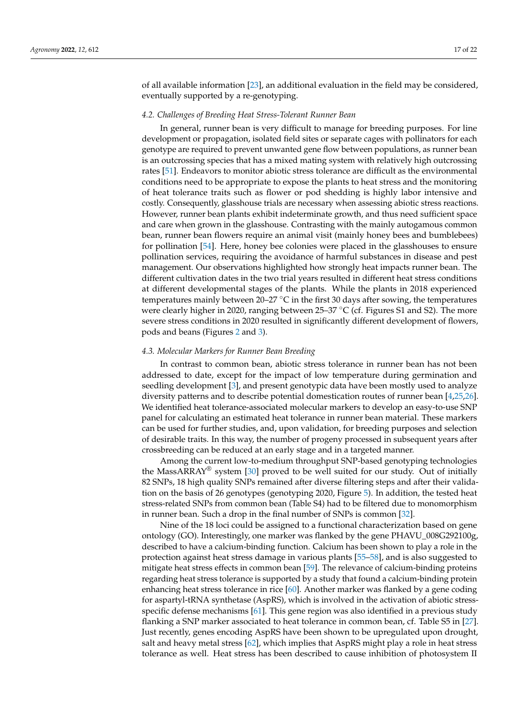of all available information [\[23\]](#page-19-13), an additional evaluation in the field may be considered, eventually supported by a re-genotyping.

#### *4.2. Challenges of Breeding Heat Stress-Tolerant Runner Bean*

In general, runner bean is very difficult to manage for breeding purposes. For line development or propagation, isolated field sites or separate cages with pollinators for each genotype are required to prevent unwanted gene flow between populations, as runner bean is an outcrossing species that has a mixed mating system with relatively high outcrossing rates [\[51\]](#page-20-23). Endeavors to monitor abiotic stress tolerance are difficult as the environmental conditions need to be appropriate to expose the plants to heat stress and the monitoring of heat tolerance traits such as flower or pod shedding is highly labor intensive and costly. Consequently, glasshouse trials are necessary when assessing abiotic stress reactions. However, runner bean plants exhibit indeterminate growth, and thus need sufficient space and care when grown in the glasshouse. Contrasting with the mainly autogamous common bean, runner bean flowers require an animal visit (mainly honey bees and bumblebees) for pollination [\[54\]](#page-20-26). Here, honey bee colonies were placed in the glasshouses to ensure pollination services, requiring the avoidance of harmful substances in disease and pest management. Our observations highlighted how strongly heat impacts runner bean. The different cultivation dates in the two trial years resulted in different heat stress conditions at different developmental stages of the plants. While the plants in 2018 experienced temperatures mainly between 20–27  $\degree$ C in the first 30 days after sowing, the temperatures were clearly higher in 2020, ranging between 25–37  $\mathrm{^{\circ}C}$  (cf. Figures S1 and S2). The more severe stress conditions in 2020 resulted in significantly different development of flowers, pods and beans (Figures [2](#page-7-0) and [3\)](#page-7-1).

#### *4.3. Molecular Markers for Runner Bean Breeding*

In contrast to common bean, abiotic stress tolerance in runner bean has not been addressed to date, except for the impact of low temperature during germination and seedling development [\[3\]](#page-19-0), and present genotypic data have been mostly used to analyze diversity patterns and to describe potential domestication routes of runner bean [\[4](#page-19-18)[,25,](#page-19-19)[26\]](#page-19-16). We identified heat tolerance-associated molecular markers to develop an easy-to-use SNP panel for calculating an estimated heat tolerance in runner bean material. These markers can be used for further studies, and, upon validation, for breeding purposes and selection of desirable traits. In this way, the number of progeny processed in subsequent years after crossbreeding can be reduced at an early stage and in a targeted manner.

Among the current low-to-medium throughput SNP-based genotyping technologies the MassARRAY<sup>®</sup> system [\[30\]](#page-20-2) proved to be well suited for our study. Out of initially 82 SNPs, 18 high quality SNPs remained after diverse filtering steps and after their validation on the basis of 26 genotypes (genotyping 2020, Figure [5\)](#page-10-1). In addition, the tested heat stress-related SNPs from common bean (Table S4) had to be filtered due to monomorphism in runner bean. Such a drop in the final number of SNPs is common [\[32\]](#page-20-4).

Nine of the 18 loci could be assigned to a functional characterization based on gene ontology (GO). Interestingly, one marker was flanked by the gene PHAVU\_008G292100g, described to have a calcium-binding function. Calcium has been shown to play a role in the protection against heat stress damage in various plants [\[55–](#page-20-27)[58\]](#page-20-28), and is also suggested to mitigate heat stress effects in common bean [\[59\]](#page-21-0). The relevance of calcium-binding proteins regarding heat stress tolerance is supported by a study that found a calcium-binding protein enhancing heat stress tolerance in rice [\[60\]](#page-21-1). Another marker was flanked by a gene coding for aspartyl-tRNA synthetase (AspRS), which is involved in the activation of abiotic stressspecific defense mechanisms [\[61\]](#page-21-2). This gene region was also identified in a previous study flanking a SNP marker associated to heat tolerance in common bean, cf. Table S5 in [\[27\]](#page-19-17). Just recently, genes encoding AspRS have been shown to be upregulated upon drought, salt and heavy metal stress [\[62\]](#page-21-3), which implies that AspRS might play a role in heat stress tolerance as well. Heat stress has been described to cause inhibition of photosystem II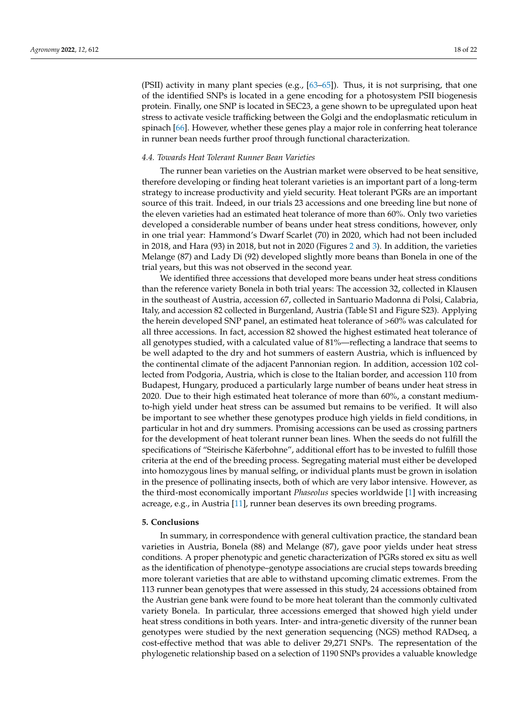(PSII) activity in many plant species (e.g.,  $[63-65]$  $[63-65]$ ). Thus, it is not surprising, that one of the identified SNPs is located in a gene encoding for a photosystem PSII biogenesis protein. Finally, one SNP is located in SEC23, a gene shown to be upregulated upon heat stress to activate vesicle trafficking between the Golgi and the endoplasmatic reticulum in spinach [\[66\]](#page-21-6). However, whether these genes play a major role in conferring heat tolerance in runner bean needs further proof through functional characterization.

## *4.4. Towards Heat Tolerant Runner Bean Varieties*

The runner bean varieties on the Austrian market were observed to be heat sensitive, therefore developing or finding heat tolerant varieties is an important part of a long-term strategy to increase productivity and yield security. Heat tolerant PGRs are an important source of this trait. Indeed, in our trials 23 accessions and one breeding line but none of the eleven varieties had an estimated heat tolerance of more than 60%. Only two varieties developed a considerable number of beans under heat stress conditions, however, only in one trial year: Hammond's Dwarf Scarlet (70) in 2020, which had not been included in 2018, and Hara (93) in 2018, but not in 2020 (Figures [2](#page-7-0) and [3\)](#page-7-1). In addition, the varieties Melange (87) and Lady Di (92) developed slightly more beans than Bonela in one of the trial years, but this was not observed in the second year.

We identified three accessions that developed more beans under heat stress conditions than the reference variety Bonela in both trial years: The accession 32, collected in Klausen in the southeast of Austria, accession 67, collected in Santuario Madonna di Polsi, Calabria, Italy, and accession 82 collected in Burgenland, Austria (Table S1 and Figure S23). Applying the herein developed SNP panel, an estimated heat tolerance of >60% was calculated for all three accessions. In fact, accession 82 showed the highest estimated heat tolerance of all genotypes studied, with a calculated value of 81%—reflecting a landrace that seems to be well adapted to the dry and hot summers of eastern Austria, which is influenced by the continental climate of the adjacent Pannonian region. In addition, accession 102 collected from Podgoria, Austria, which is close to the Italian border, and accession 110 from Budapest, Hungary, produced a particularly large number of beans under heat stress in 2020. Due to their high estimated heat tolerance of more than 60%, a constant mediumto-high yield under heat stress can be assumed but remains to be verified. It will also be important to see whether these genotypes produce high yields in field conditions, in particular in hot and dry summers. Promising accessions can be used as crossing partners for the development of heat tolerant runner bean lines. When the seeds do not fulfill the specifications of "Steirische Käferbohne", additional effort has to be invested to fulfill those criteria at the end of the breeding process. Segregating material must either be developed into homozygous lines by manual selfing, or individual plants must be grown in isolation in the presence of pollinating insects, both of which are very labor intensive. However, as the third-most economically important *Phaseolus* species worldwide [\[1\]](#page-18-0) with increasing acreage, e.g., in Austria [\[11\]](#page-19-5), runner bean deserves its own breeding programs.

## **5. Conclusions**

In summary, in correspondence with general cultivation practice, the standard bean varieties in Austria, Bonela (88) and Melange (87), gave poor yields under heat stress conditions. A proper phenotypic and genetic characterization of PGRs stored ex situ as well as the identification of phenotype–genotype associations are crucial steps towards breeding more tolerant varieties that are able to withstand upcoming climatic extremes. From the 113 runner bean genotypes that were assessed in this study, 24 accessions obtained from the Austrian gene bank were found to be more heat tolerant than the commonly cultivated variety Bonela. In particular, three accessions emerged that showed high yield under heat stress conditions in both years. Inter- and intra-genetic diversity of the runner bean genotypes were studied by the next generation sequencing (NGS) method RADseq, a cost-effective method that was able to deliver 29,271 SNPs. The representation of the phylogenetic relationship based on a selection of 1190 SNPs provides a valuable knowledge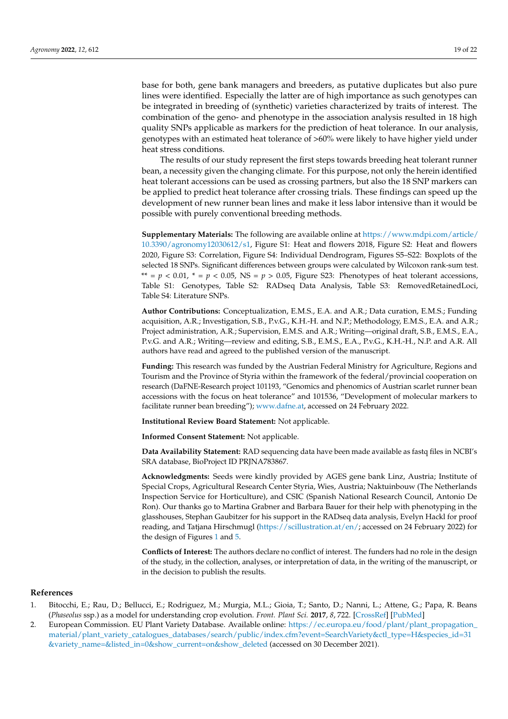base for both, gene bank managers and breeders, as putative duplicates but also pure lines were identified. Especially the latter are of high importance as such genotypes can be integrated in breeding of (synthetic) varieties characterized by traits of interest. The combination of the geno- and phenotype in the association analysis resulted in 18 high quality SNPs applicable as markers for the prediction of heat tolerance. In our analysis, genotypes with an estimated heat tolerance of >60% were likely to have higher yield under heat stress conditions.

The results of our study represent the first steps towards breeding heat tolerant runner bean, a necessity given the changing climate. For this purpose, not only the herein identified heat tolerant accessions can be used as crossing partners, but also the 18 SNP markers can be applied to predict heat tolerance after crossing trials. These findings can speed up the development of new runner bean lines and make it less labor intensive than it would be possible with purely conventional breeding methods.

**Supplementary Materials:** The following are available online at [https://www.mdpi.com/article/](https://www.mdpi.com/article/10.3390/agronomy12030612/s1) [10.3390/agronomy12030612/s1,](https://www.mdpi.com/article/10.3390/agronomy12030612/s1) Figure S1: Heat and flowers 2018, Figure S2: Heat and flowers 2020, Figure S3: Correlation, Figure S4: Individual Dendrogram, Figures S5–S22: Boxplots of the selected 18 SNPs. Significant differences between groups were calculated by Wilcoxon rank-sum test. \*\* =  $p$  < 0.01, \* =  $p$  < 0.05, NS =  $p > 0.05$ , Figure S23: Phenotypes of heat tolerant accessions, Table S1: Genotypes, Table S2: RADseq Data Analysis, Table S3: RemovedRetainedLoci, Table S4: Literature SNPs.

**Author Contributions:** Conceptualization, E.M.S., E.A. and A.R.; Data curation, E.M.S.; Funding acquisition, A.R.; Investigation, S.B., P.v.G., K.H.-H. and N.P.; Methodology, E.M.S., E.A. and A.R.; Project administration, A.R.; Supervision, E.M.S. and A.R.; Writing—original draft, S.B., E.M.S., E.A., P.v.G. and A.R.; Writing—review and editing, S.B., E.M.S., E.A., P.v.G., K.H.-H., N.P. and A.R. All authors have read and agreed to the published version of the manuscript.

**Funding:** This research was funded by the Austrian Federal Ministry for Agriculture, Regions and Tourism and the Province of Styria within the framework of the federal/provincial cooperation on research (DaFNE-Research project 101193, "Genomics and phenomics of Austrian scarlet runner bean accessions with the focus on heat tolerance" and 101536, "Development of molecular markers to facilitate runner bean breeding"); [www.dafne.at,](www.dafne.at) accessed on 24 February 2022.

**Institutional Review Board Statement:** Not applicable.

**Informed Consent Statement:** Not applicable.

**Data Availability Statement:** RAD sequencing data have been made available as fastq files in NCBI's SRA database, BioProject ID PRJNA783867.

**Acknowledgments:** Seeds were kindly provided by AGES gene bank Linz, Austria; Institute of Special Crops, Agricultural Research Center Styria, Wies, Austria; Naktuinbouw (The Netherlands Inspection Service for Horticulture), and CSIC (Spanish National Research Council, Antonio De Ron). Our thanks go to Martina Grabner and Barbara Bauer for their help with phenotyping in the glasshouses, Stephan Gaubitzer for his support in the RADseq data analysis, Evelyn Hackl for proof reading, and Tatjana Hirschmugl [\(https://scillustration.at/en/;](https://scillustration.at/en/) accessed on 24 February 2022) for the design of Figures [1](#page-2-0) and [5.](#page-10-1)

**Conflicts of Interest:** The authors declare no conflict of interest. The funders had no role in the design of the study, in the collection, analyses, or interpretation of data, in the writing of the manuscript, or in the decision to publish the results.

## **References**

- <span id="page-18-0"></span>1. Bitocchi, E.; Rau, D.; Bellucci, E.; Rodriguez, M.; Murgia, M.L.; Gioia, T.; Santo, D.; Nanni, L.; Attene, G.; Papa, R. Beans (*Phaseolus* ssp.) as a model for understanding crop evolution. *Front. Plant Sci.* **2017**, *8*, 722. [\[CrossRef\]](http://doi.org/10.3389/fpls.2017.00722) [\[PubMed\]](http://www.ncbi.nlm.nih.gov/pubmed/28533789)
- <span id="page-18-1"></span>2. European Commission. EU Plant Variety Database. Available online: [https://ec.europa.eu/food/plant/plant\\_propagation\\_](https://ec.europa.eu/food/plant/plant_propagation_material/plant_variety_catalogues_databases/search/public/index.cfm?event=SearchVariety&ctl_type=H&species_id=31&variety_name=&listed_in=0&show_current=on&show_deleted) [material/plant\\_variety\\_catalogues\\_databases/search/public/index.cfm?event=SearchVariety&ctl\\_type=H&species\\_id=31](https://ec.europa.eu/food/plant/plant_propagation_material/plant_variety_catalogues_databases/search/public/index.cfm?event=SearchVariety&ctl_type=H&species_id=31&variety_name=&listed_in=0&show_current=on&show_deleted) [&variety\\_name=&listed\\_in=0&show\\_current=on&show\\_deleted](https://ec.europa.eu/food/plant/plant_propagation_material/plant_variety_catalogues_databases/search/public/index.cfm?event=SearchVariety&ctl_type=H&species_id=31&variety_name=&listed_in=0&show_current=on&show_deleted) (accessed on 30 December 2021).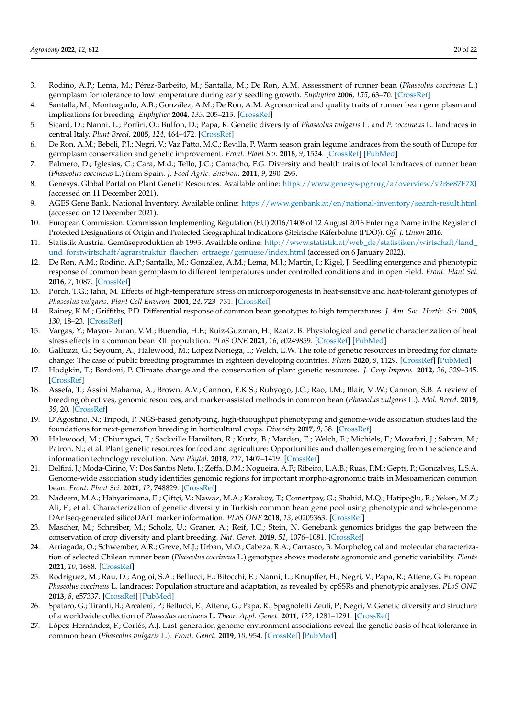- <span id="page-19-0"></span>3. Rodiño, A.P.; Lema, M.; Pérez-Barbeito, M.; Santalla, M.; De Ron, A.M. Assessment of runner bean (*Phaseolus coccineus* L.) germplasm for tolerance to low temperature during early seedling growth. *Euphytica* **2006**, *155*, 63–70. [\[CrossRef\]](http://doi.org/10.1007/s10681-006-9301-6)
- <span id="page-19-18"></span>4. Santalla, M.; Monteagudo, A.B.; González, A.M.; De Ron, A.M. Agronomical and quality traits of runner bean germplasm and implications for breeding. *Euphytica* **2004**, *135*, 205–215. [\[CrossRef\]](http://doi.org/10.1023/B:EUPH.0000014912.07993.e7)
- <span id="page-19-14"></span>5. Sicard, D.; Nanni, L.; Porfiri, O.; Bulfon, D.; Papa, R. Genetic diversity of *Phaseolus vulgaris* L. and *P. coccineus* L. landraces in central Italy. *Plant Breed.* **2005**, *124*, 464–472. [\[CrossRef\]](http://doi.org/10.1111/j.1439-0523.2005.01137.x)
- 6. De Ron, A.M.; Bebeli, P.J.; Negri, V.; Vaz Patto, M.C.; Revilla, P. Warm season grain legume landraces from the south of Europe for germplasm conservation and genetic improvement. *Front. Plant Sci.* **2018**, *9*, 1524. [\[CrossRef\]](http://doi.org/10.3389/fpls.2018.01524) [\[PubMed\]](http://www.ncbi.nlm.nih.gov/pubmed/30405662)
- <span id="page-19-1"></span>7. Palmero, D.; Iglesias, C.; Cara, M.d.; Tello, J.C.; Camacho, F.G. Diversity and health traits of local landraces of runner bean (*Phaseolus coccineus* L.) from Spain. *J. Food Agric. Environ.* **2011**, *9*, 290–295.
- <span id="page-19-2"></span>8. Genesys. Global Portal on Plant Genetic Resources. Available online: <https://www.genesys-pgr.org/a/overview/v2r8e87E7XJ> (accessed on 11 December 2021).
- <span id="page-19-3"></span>9. AGES Gene Bank. National Inventory. Available online: <https://www.genbank.at/en/national-inventory/search-result.html> (accessed on 12 December 2021).
- <span id="page-19-4"></span>10. European Commission. Commission Implementing Regulation (EU) 2016/1408 of 12 August 2016 Entering a Name in the Register of Protected Designations of Origin and Protected Geographical Indications (Steirische Käferbohne (PDO)). *Off. J. Union* **2016**.
- <span id="page-19-5"></span>11. Statistik Austria. Gemüseproduktion ab 1995. Available online: [http://www.statistik.at/web\\_de/statistiken/wirtschaft/land\\_](http://www.statistik.at/web_de/statistiken/wirtschaft/land_und_forstwirtschaft/agrarstruktur_flaechen_ertraege/gemuese/index.html) [und\\_forstwirtschaft/agrarstruktur\\_flaechen\\_ertraege/gemuese/index.html](http://www.statistik.at/web_de/statistiken/wirtschaft/land_und_forstwirtschaft/agrarstruktur_flaechen_ertraege/gemuese/index.html) (accessed on 6 January 2022).
- <span id="page-19-6"></span>12. De Ron, A.M.; Rodiño, A.P.; Santalla, M.; González, A.M.; Lema, M.J.; Martín, I.; Kigel, J. Seedling emergence and phenotypic response of common bean germplasm to different temperatures under controlled conditions and in open Field. *Front. Plant Sci.* **2016**, *7*, 1087. [\[CrossRef\]](http://doi.org/10.3389/fpls.2016.01087)
- 13. Porch, T.G.; Jahn, M. Effects of high-temperature stress on microsporogenesis in heat-sensitive and heat-tolerant genotypes of *Phaseolus vulgaris*. *Plant Cell Environ.* **2001**, *24*, 723–731. [\[CrossRef\]](http://doi.org/10.1046/j.1365-3040.2001.00716.x)
- 14. Rainey, K.M.; Griffiths, P.D. Differential response of common bean genotypes to high temperatures. *J. Am. Soc. Hortic. Sci.* **2005**, *130*, 18–23. [\[CrossRef\]](http://doi.org/10.21273/JASHS.130.1.18)
- <span id="page-19-7"></span>15. Vargas, Y.; Mayor-Duran, V.M.; Buendia, H.F.; Ruiz-Guzman, H.; Raatz, B. Physiological and genetic characterization of heat stress effects in a common bean RIL population. *PLoS ONE* **2021**, *16*, e0249859. [\[CrossRef\]](http://doi.org/10.1371/journal.pone.0249859) [\[PubMed\]](http://www.ncbi.nlm.nih.gov/pubmed/33914759)
- <span id="page-19-8"></span>16. Galluzzi, G.; Seyoum, A.; Halewood, M.; López Noriega, I.; Welch, E.W. The role of genetic resources in breeding for climate change: The case of public breeding programmes in eighteen developing countries. *Plants* **2020**, *9*, 1129. [\[CrossRef\]](http://doi.org/10.3390/plants9091129) [\[PubMed\]](http://www.ncbi.nlm.nih.gov/pubmed/32878309)
- <span id="page-19-9"></span>17. Hodgkin, T.; Bordoni, P. Climate change and the conservation of plant genetic resources. *J. Crop Improv.* **2012**, *26*, 329–345. [\[CrossRef\]](http://doi.org/10.1080/15427528.2011.609928)
- <span id="page-19-10"></span>18. Assefa, T.; Assibi Mahama, A.; Brown, A.V.; Cannon, E.K.S.; Rubyogo, J.C.; Rao, I.M.; Blair, M.W.; Cannon, S.B. A review of breeding objectives, genomic resources, and marker-assisted methods in common bean (*Phaseolus vulgaris* L.). *Mol. Breed.* **2019**, *39*, 20. [\[CrossRef\]](http://doi.org/10.1007/s11032-018-0920-0)
- 19. D'Agostino, N.; Tripodi, P. NGS-based genotyping, high-throughput phenotyping and genome-wide association studies laid the foundations for next-generation breeding in horticultural crops. *Diversity* **2017**, *9*, 38. [\[CrossRef\]](http://doi.org/10.3390/d9030038)
- <span id="page-19-11"></span>20. Halewood, M.; Chiurugwi, T.; Sackville Hamilton, R.; Kurtz, B.; Marden, E.; Welch, E.; Michiels, F.; Mozafari, J.; Sabran, M.; Patron, N.; et al. Plant genetic resources for food and agriculture: Opportunities and challenges emerging from the science and information technology revolution. *New Phytol.* **2018**, *217*, 1407–1419. [\[CrossRef\]](http://doi.org/10.1111/nph.14993)
- <span id="page-19-12"></span>21. Delfini, J.; Moda-Cirino, V.; Dos Santos Neto, J.; Zeffa, D.M.; Nogueira, A.F.; Ribeiro, L.A.B.; Ruas, P.M.; Gepts, P.; Goncalves, L.S.A. Genome-wide association study identifies genomic regions for important morpho-agronomic traits in Mesoamerican common bean. *Front. Plant Sci.* **2021**, *12*, 748829. [\[CrossRef\]](http://doi.org/10.3389/fpls.2021.748829)
- 22. Nadeem, M.A.; Habyarimana, E.; Çiftçi, V.; Nawaz, M.A.; Karaköy, T.; Comertpay, G.; Shahid, M.Q.; Hatipoğlu, R.; Yeken, M.Z.; Ali, F.; et al. Characterization of genetic diversity in Turkish common bean gene pool using phenotypic and whole-genome DArTseq-generated silicoDArT marker information. *PLoS ONE* **2018**, *13*, e0205363. [\[CrossRef\]](http://doi.org/10.1371/journal.pone.0205363)
- <span id="page-19-13"></span>23. Mascher, M.; Schreiber, M.; Scholz, U.; Graner, A.; Reif, J.C.; Stein, N. Genebank genomics bridges the gap between the conservation of crop diversity and plant breeding. *Nat. Genet.* **2019**, *51*, 1076–1081. [\[CrossRef\]](http://doi.org/10.1038/s41588-019-0443-6)
- <span id="page-19-15"></span>24. Arriagada, O.; Schwember, A.R.; Greve, M.J.; Urban, M.O.; Cabeza, R.A.; Carrasco, B. Morphological and molecular characterization of selected Chilean runner bean (*Phaseolus coccineus* L.) genotypes shows moderate agronomic and genetic variability. *Plants* **2021**, *10*, 1688. [\[CrossRef\]](http://doi.org/10.3390/plants10081688)
- <span id="page-19-19"></span>25. Rodriguez, M.; Rau, D.; Angioi, S.A.; Bellucci, E.; Bitocchi, E.; Nanni, L.; Knupffer, H.; Negri, V.; Papa, R.; Attene, G. European *Phaseolus coccineus* L. landraces: Population structure and adaptation, as revealed by cpSSRs and phenotypic analyses. *PLoS ONE* **2013**, *8*, e57337. [\[CrossRef\]](http://doi.org/10.1371/journal.pone.0057337) [\[PubMed\]](http://www.ncbi.nlm.nih.gov/pubmed/23451209)
- <span id="page-19-16"></span>26. Spataro, G.; Tiranti, B.; Arcaleni, P.; Bellucci, E.; Attene, G.; Papa, R.; Spagnoletti Zeuli, P.; Negri, V. Genetic diversity and structure of a worldwide collection of *Phaseolus coccineus* L. *Theor. Appl. Genet.* **2011**, *122*, 1281–1291. [\[CrossRef\]](http://doi.org/10.1007/s00122-011-1530-y)
- <span id="page-19-17"></span>27. López-Hernández, F.; Cortés, A.J. Last-generation genome-environment associations reveal the genetic basis of heat tolerance in common bean (*Phaseolus vulgaris* L.). *Front. Genet.* **2019**, *10*, 954. [\[CrossRef\]](http://doi.org/10.3389/fgene.2019.00954) [\[PubMed\]](http://www.ncbi.nlm.nih.gov/pubmed/31824551)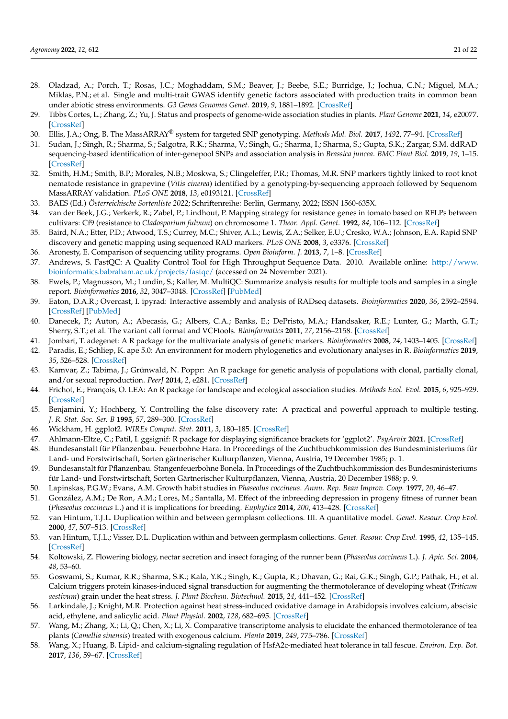- <span id="page-20-0"></span>28. Oladzad, A.; Porch, T.; Rosas, J.C.; Moghaddam, S.M.; Beaver, J.; Beebe, S.E.; Burridge, J.; Jochua, C.N.; Miguel, M.A.; Miklas, P.N.; et al. Single and multi-trait GWAS identify genetic factors associated with production traits in common bean under abiotic stress environments. *G3 Genes Genomes Genet.* **2019**, *9*, 1881–1892. [\[CrossRef\]](http://doi.org/10.1534/g3.119.400072)
- <span id="page-20-1"></span>29. Tibbs Cortes, L.; Zhang, Z.; Yu, J. Status and prospects of genome-wide association studies in plants. *Plant Genome* **2021**, *14*, e20077. [\[CrossRef\]](http://doi.org/10.1002/tpg2.20077)
- <span id="page-20-2"></span>30. Ellis, J.A.; Ong, B. The MassARRAY® system for targeted SNP genotyping. *Methods Mol. Biol.* **2017**, *1492*, 77–94. [\[CrossRef\]](http://doi.org/10.1007/978-1-4939-6442-0_5)
- <span id="page-20-3"></span>31. Sudan, J.; Singh, R.; Sharma, S.; Salgotra, R.K.; Sharma, V.; Singh, G.; Sharma, I.; Sharma, S.; Gupta, S.K.; Zargar, S.M. ddRAD sequencing-based identification of inter-genepool SNPs and association analysis in *Brassica juncea*. *BMC Plant Biol.* **2019**, *19*, 1–15. [\[CrossRef\]](http://doi.org/10.1186/s12870-019-2188-x)
- <span id="page-20-4"></span>32. Smith, H.M.; Smith, B.P.; Morales, N.B.; Moskwa, S.; Clingeleffer, P.R.; Thomas, M.R. SNP markers tightly linked to root knot nematode resistance in grapevine (*Vitis cinerea*) identified by a genotyping-by-sequencing approach followed by Sequenom MassARRAY validation. *PLoS ONE* **2018**, *13*, e0193121. [\[CrossRef\]](http://doi.org/10.1371/journal.pone.0193121)
- <span id="page-20-5"></span>33. BAES (Ed.) *Österreichische Sortenliste 2022*; Schriftenreihe: Berlin, Germany, 2022; ISSN 1560-635X.
- <span id="page-20-6"></span>34. van der Beek, J.G.; Verkerk, R.; Zabel, P.; Lindhout, P. Mapping strategy for resistance genes in tomato based on RFLPs between cultivars: Cf9 (resistance to *Cladosporium fulvum*) on chromosome 1. *Theor. Appl. Genet.* **1992**, *84*, 106–112. [\[CrossRef\]](http://doi.org/10.1007/BF00223988)
- <span id="page-20-7"></span>35. Baird, N.A.; Etter, P.D.; Atwood, T.S.; Currey, M.C.; Shiver, A.L.; Lewis, Z.A.; Selker, E.U.; Cresko, W.A.; Johnson, E.A. Rapid SNP discovery and genetic mapping using sequenced RAD markers. *PLoS ONE* **2008**, *3*, e3376. [\[CrossRef\]](http://doi.org/10.1371/journal.pone.0003376)
- <span id="page-20-8"></span>36. Aronesty, E. Comparison of sequencing utility programs. *Open Bioinform. J.* **2013**, *7*, 1–8. [\[CrossRef\]](http://doi.org/10.2174/1875036201307010001)
- <span id="page-20-9"></span>37. Andrews, S. FastQC: A Quality Control Tool for High Throughput Sequence Data. 2010. Available online: [http://www.](http://www.bioinformatics.babraham.ac.uk/projects/fastqc/) [bioinformatics.babraham.ac.uk/projects/fastqc/](http://www.bioinformatics.babraham.ac.uk/projects/fastqc/) (accessed on 24 November 2021).
- <span id="page-20-10"></span>38. Ewels, P.; Magnusson, M.; Lundin, S.; Kaller, M. MultiQC: Summarize analysis results for multiple tools and samples in a single report. *Bioinformatics* **2016**, *32*, 3047–3048. [\[CrossRef\]](http://doi.org/10.1093/bioinformatics/btw354) [\[PubMed\]](http://www.ncbi.nlm.nih.gov/pubmed/27312411)
- <span id="page-20-11"></span>39. Eaton, D.A.R.; Overcast, I. ipyrad: Interactive assembly and analysis of RADseq datasets. *Bioinformatics* **2020**, *36*, 2592–2594. [\[CrossRef\]](http://doi.org/10.1093/bioinformatics/btz966) [\[PubMed\]](http://www.ncbi.nlm.nih.gov/pubmed/31904816)
- <span id="page-20-12"></span>40. Danecek, P.; Auton, A.; Abecasis, G.; Albers, C.A.; Banks, E.; DePristo, M.A.; Handsaker, R.E.; Lunter, G.; Marth, G.T.; Sherry, S.T.; et al. The variant call format and VCFtools. *Bioinformatics* **2011**, *27*, 2156–2158. [\[CrossRef\]](http://doi.org/10.1093/bioinformatics/btr330)
- <span id="page-20-13"></span>41. Jombart, T. adegenet: A R package for the multivariate analysis of genetic markers. *Bioinformatics* **2008**, *24*, 1403–1405. [\[CrossRef\]](http://doi.org/10.1093/bioinformatics/btn129)
- <span id="page-20-14"></span>42. Paradis, E.; Schliep, K. ape 5.0: An environment for modern phylogenetics and evolutionary analyses in R. *Bioinformatics* **2019**, *35*, 526–528. [\[CrossRef\]](http://doi.org/10.1093/bioinformatics/bty633)
- <span id="page-20-15"></span>43. Kamvar, Z.; Tabima, J.; Grünwald, N. Poppr: An R package for genetic analysis of populations with clonal, partially clonal, and/or sexual reproduction. *PeerJ* **2014**, *2*, e281. [\[CrossRef\]](http://doi.org/10.7717/peerj.281)
- <span id="page-20-16"></span>44. Frichot, E.; François, O. LEA: An R package for landscape and ecological association studies. *Methods Ecol. Evol.* **2015**, *6*, 925–929. [\[CrossRef\]](http://doi.org/10.1111/2041-210X.12382)
- <span id="page-20-17"></span>45. Benjamini, Y.; Hochberg, Y. Controlling the false discovery rate: A practical and powerful approach to multiple testing. *J. R. Stat. Soc. Ser. B* **1995**, *57*, 289–300. [\[CrossRef\]](http://doi.org/10.1111/j.2517-6161.1995.tb02031.x)
- <span id="page-20-18"></span>46. Wickham, H. ggplot2. *WIREs Comput. Stat.* **2011**, *3*, 180–185. [\[CrossRef\]](http://doi.org/10.1002/wics.147)
- <span id="page-20-19"></span>47. Ahlmann-Eltze, C.; Patil, I. ggsignif: R package for displaying significance brackets for 'ggplot2'. *PsyArvix* **2021**. [\[CrossRef\]](http://doi.org/10.31234/osf.io/7awm6)
- <span id="page-20-20"></span>48. Bundesanstalt für Pflanzenbau. Feuerbohne Hara. In Proceedings of the Zuchtbuchkommission des Bundesministeriums für Land- und Forstwirtschaft, Sorten gärtnerischer Kulturpflanzen, Vienna, Austria, 19 December 1985; p. 1.
- <span id="page-20-21"></span>49. Bundesanstalt für Pflanzenbau. Stangenfeuerbohne Bonela. In Proceedings of the Zuchtbuchkommission des Bundesministeriums für Land- und Forstwirtschaft, Sorten Gärtnerischer Kulturpflanzen, Vienna, Austria, 20 December 1988; p. 9.
- <span id="page-20-22"></span>50. Lapinskas, P.G.W.; Evans, A.M. Growth habit studies in *Phaseolus coccineus*. *Annu. Rep. Bean Improv. Coop.* **1977**, *20*, 46–47.
- <span id="page-20-23"></span>51. González, A.M.; De Ron, A.M.; Lores, M.; Santalla, M. Effect of the inbreeding depression in progeny fitness of runner bean (*Phaseolus coccineus* L.) and it is implications for breeding. *Euphytica* **2014**, *200*, 413–428. [\[CrossRef\]](http://doi.org/10.1007/s10681-014-1177-2)
- <span id="page-20-24"></span>52. van Hintum, T.J.L. Duplication within and between germplasm collections. III. A quantitative model. *Genet. Resour. Crop Evol.* **2000**, *47*, 507–513. [\[CrossRef\]](http://doi.org/10.1023/A:1008703031415)
- <span id="page-20-25"></span>53. van Hintum, T.J.L.; Visser, D.L. Duplication within and between germplasm collections. *Genet. Resour. Crop Evol.* **1995**, *42*, 135–145. [\[CrossRef\]](http://doi.org/10.1007/BF02539517)
- <span id="page-20-26"></span>54. Koltowski, Z. Flowering biology, nectar secretion and insect foraging of the runner bean (*Phaseolus coccineus* L.). *J. Apic. Sci.* **2004**, *48*, 53–60.
- <span id="page-20-27"></span>55. Goswami, S.; Kumar, R.R.; Sharma, S.K.; Kala, Y.K.; Singh, K.; Gupta, R.; Dhavan, G.; Rai, G.K.; Singh, G.P.; Pathak, H.; et al. Calcium triggers protein kinases-induced signal transduction for augmenting the thermotolerance of developing wheat (*Triticum aestivum*) grain under the heat stress. *J. Plant Biochem. Biotechnol.* **2015**, *24*, 441–452. [\[CrossRef\]](http://doi.org/10.1007/s13562-014-0295-1)
- 56. Larkindale, J.; Knight, M.R. Protection against heat stress-induced oxidative damage in Arabidopsis involves calcium, abscisic acid, ethylene, and salicylic acid. *Plant Physiol.* **2002**, *128*, 682–695. [\[CrossRef\]](http://doi.org/10.1104/pp.010320)
- 57. Wang, M.; Zhang, X.; Li, Q.; Chen, X.; Li, X. Comparative transcriptome analysis to elucidate the enhanced thermotolerance of tea plants (*Camellia sinensis*) treated with exogenous calcium. *Planta* **2019**, *249*, 775–786. [\[CrossRef\]](http://doi.org/10.1007/s00425-018-3039-y)
- <span id="page-20-28"></span>58. Wang, X.; Huang, B. Lipid- and calcium-signaling regulation of HsfA2c-mediated heat tolerance in tall fescue. *Environ. Exp. Bot.* **2017**, *136*, 59–67. [\[CrossRef\]](http://doi.org/10.1016/j.envexpbot.2017.01.008)